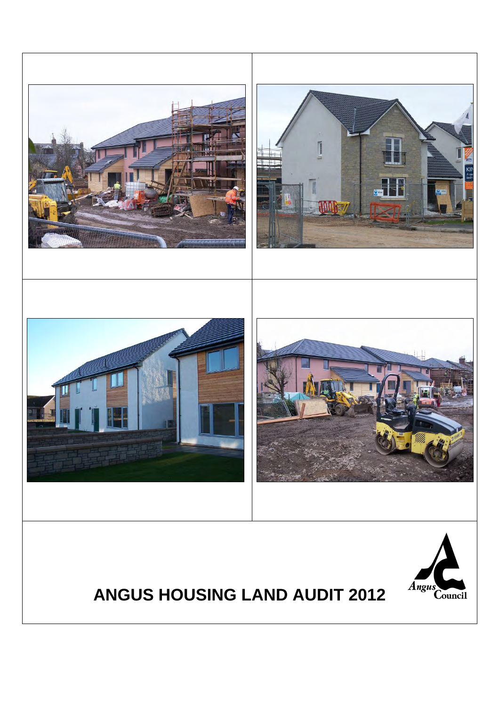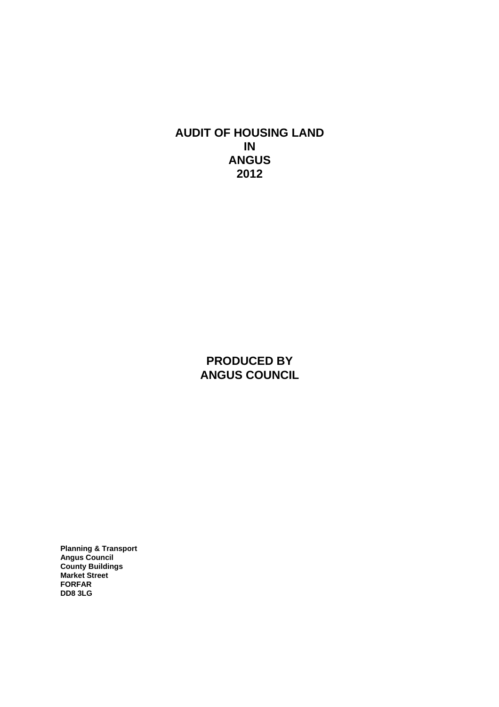**AUDIT OF HOUSING LAND IN ANGUS 2012**

> **PRODUCED BY ANGUS COUNCIL**

**Planning & Transport Angus Council County Buildings Market Street FORFAR DD8 3LG**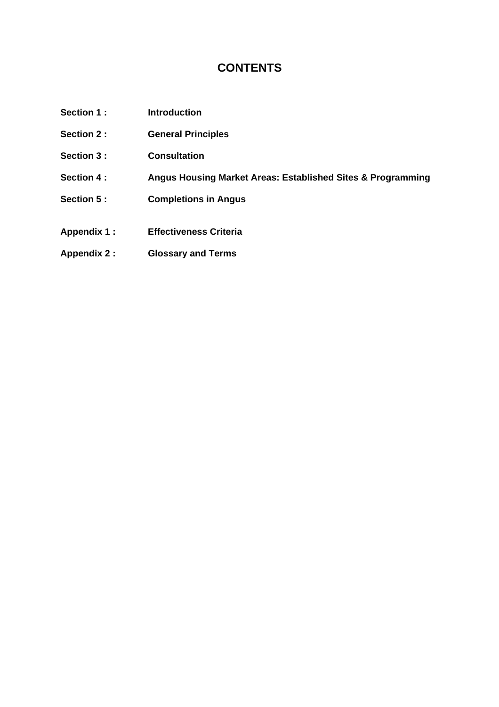#### **CONTENTS**

- Section 1 : **Introduction**
- **[Section 2 : General Principles](#page-4-0)**
- **[Section 3 : Consultation](#page-5-0)**
- **[Section 4 : Angus Housing Market Areas: Established Sites & Programming](#page-6-0)**
- **Section 5: Completions in Angus**
- **[Appendix 1 : Effectiveness Criteria](#page-20-0)**
- **[Appendix 2 : Glossary and Terms](#page-21-0)**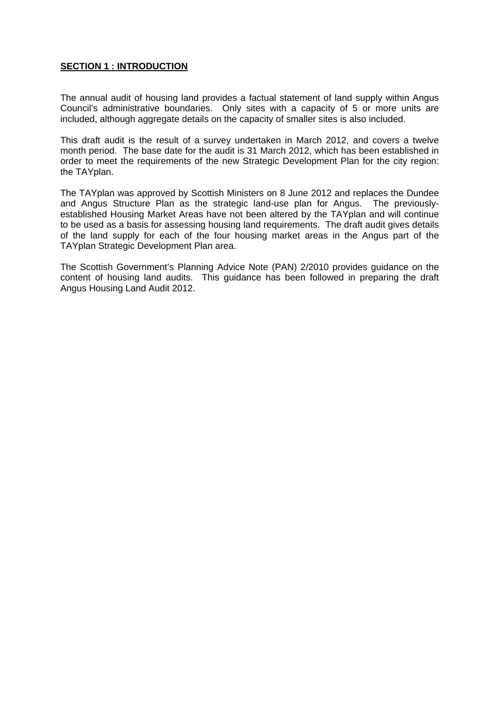#### <span id="page-3-0"></span>**SECTION 1 : INTRODUCTION**

The annual audit of housing land provides a factual statement of land supply within Angus Council's administrative boundaries. Only sites with a capacity of 5 or more units are included, although aggregate details on the capacity of smaller sites is also included.

This draft audit is the result of a survey undertaken in March 2012, and covers a twelve month period. The base date for the audit is 31 March 2012, which has been established in order to meet the requirements of the new Strategic Development Plan for the city region: the TAYplan.

The TAYplan was approved by Scottish Ministers on 8 June 2012 and replaces the Dundee and Angus Structure Plan as the strategic land-use plan for Angus. The previouslyestablished Housing Market Areas have not been altered by the TAYplan and will continue to be used as a basis for assessing housing land requirements. The draft audit gives details of the land supply for each of the four housing market areas in the Angus part of the TAYplan Strategic Development Plan area.

The Scottish Government's Planning Advice Note (PAN) 2/2010 provides guidance on the content of housing land audits. This guidance has been followed in preparing the draft Angus Housing Land Audit 2012.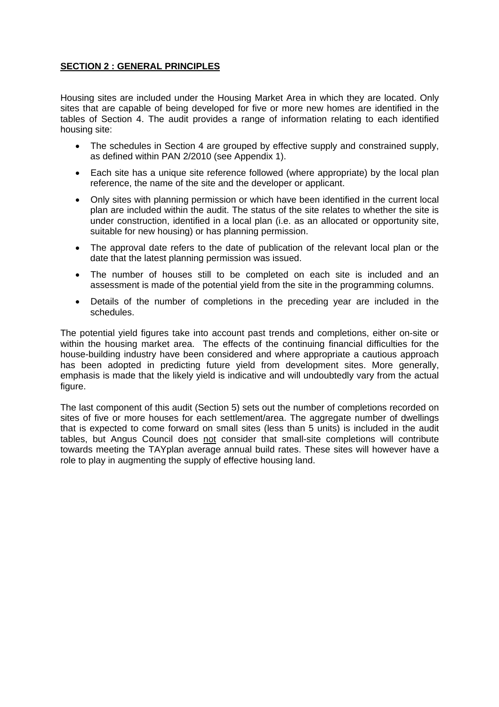#### <span id="page-4-0"></span>**SECTION 2 : GENERAL PRINCIPLES**

Housing sites are included under the Housing Market Area in which they are located. Only sites that are capable of being developed for five or more new homes are identified in the tables of Section 4. The audit provides a range of information relating to each identified housing site:

- The schedules in Section 4 are grouped by effective supply and constrained supply, as defined within PAN 2/2010 (see Appendix 1).
- Each site has a unique site reference followed (where appropriate) by the local plan reference, the name of the site and the developer or applicant.
- Only sites with planning permission or which have been identified in the current local plan are included within the audit. The status of the site relates to whether the site is under construction, identified in a local plan (i.e. as an allocated or opportunity site, suitable for new housing) or has planning permission.
- The approval date refers to the date of publication of the relevant local plan or the date that the latest planning permission was issued.
- The number of houses still to be completed on each site is included and an assessment is made of the potential yield from the site in the programming columns.
- Details of the number of completions in the preceding year are included in the schedules.

The potential yield figures take into account past trends and completions, either on-site or within the housing market area. The effects of the continuing financial difficulties for the house-building industry have been considered and where appropriate a cautious approach has been adopted in predicting future yield from development sites. More generally, emphasis is made that the likely yield is indicative and will undoubtedly vary from the actual figure.

The last component of this audit (Section 5) sets out the number of completions recorded on sites of five or more houses for each settlement/area. The aggregate number of dwellings that is expected to come forward on small sites (less than 5 units) is included in the audit tables, but Angus Council does not consider that small-site completions will contribute towards meeting the TAYplan average annual build rates. These sites will however have a role to play in augmenting the supply of effective housing land.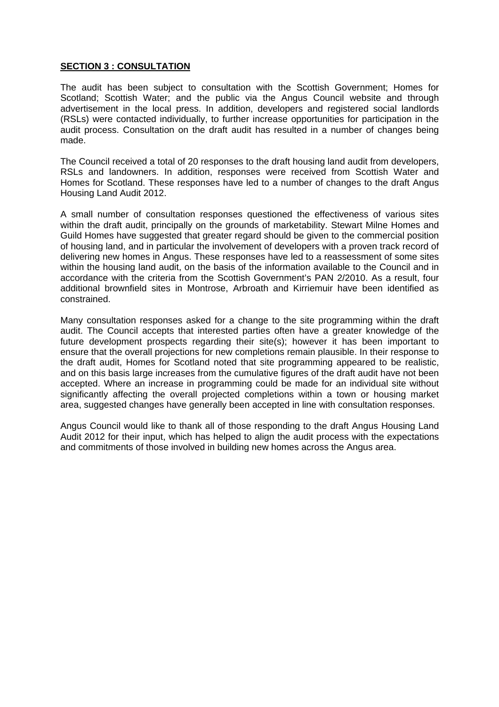#### <span id="page-5-0"></span>**SECTION 3 : CONSULTATION**

The audit has been subject to consultation with the Scottish Government; Homes for Scotland; Scottish Water; and the public via the Angus Council website and through advertisement in the local press. In addition, developers and registered social landlords (RSLs) were contacted individually, to further increase opportunities for participation in the audit process. Consultation on the draft audit has resulted in a number of changes being made.

The Council received a total of 20 responses to the draft housing land audit from developers, RSLs and landowners. In addition, responses were received from Scottish Water and Homes for Scotland. These responses have led to a number of changes to the draft Angus Housing Land Audit 2012.

A small number of consultation responses questioned the effectiveness of various sites within the draft audit, principally on the grounds of marketability. Stewart Milne Homes and Guild Homes have suggested that greater regard should be given to the commercial position of housing land, and in particular the involvement of developers with a proven track record of delivering new homes in Angus. These responses have led to a reassessment of some sites within the housing land audit, on the basis of the information available to the Council and in accordance with the criteria from the Scottish Government's PAN 2/2010. As a result, four additional brownfield sites in Montrose, Arbroath and Kirriemuir have been identified as constrained.

Many consultation responses asked for a change to the site programming within the draft audit. The Council accepts that interested parties often have a greater knowledge of the future development prospects regarding their site(s); however it has been important to ensure that the overall projections for new completions remain plausible. In their response to the draft audit, Homes for Scotland noted that site programming appeared to be realistic, and on this basis large increases from the cumulative figures of the draft audit have not been accepted. Where an increase in programming could be made for an individual site without significantly affecting the overall projected completions within a town or housing market area, suggested changes have generally been accepted in line with consultation responses.

Angus Council would like to thank all of those responding to the draft Angus Housing Land Audit 2012 for their input, which has helped to align the audit process with the expectations and commitments of those involved in building new homes across the Angus area.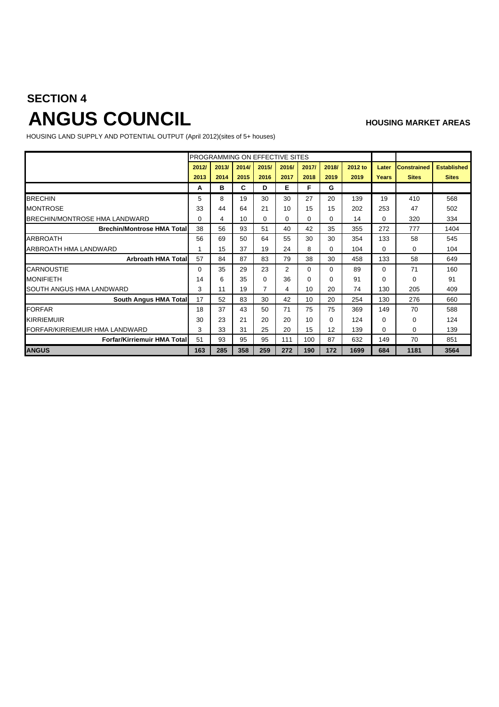# <span id="page-6-0"></span>**SECTION 4** ANGUS COUNCIL

HOUSING LAND SUPPLY AND POTENTIAL OUTPUT (April 2012)(sites of 5+ houses)

|                                    |          |       |       |       | PROGRAMMING ON EFFECTIVE SITES |          |          |         |       |                    |                    |
|------------------------------------|----------|-------|-------|-------|--------------------------------|----------|----------|---------|-------|--------------------|--------------------|
|                                    | 2012/    | 2013/ | 2014/ | 2015/ | 2016/                          | 2017/    | 2018/    | 2012 to | Later | <b>Constrained</b> | <b>Established</b> |
|                                    | 2013     | 2014  | 2015  | 2016  | 2017                           | 2018     | 2019     | 2019    | Years | <b>Sites</b>       | <b>Sites</b>       |
|                                    | А        | в     | C     | D     | Е                              | F        | G        |         |       |                    |                    |
| <b>BRECHIN</b>                     | 5        | 8     | 19    | 30    | 30                             | 27       | 20       | 139     | 19    | 410                | 568                |
| MONTROSE                           | 33       | 44    | 64    | 21    | 10                             | 15       | 15       | 202     | 253   | 47                 | 502                |
| BRECHIN/MONTROSE HMA LANDWARD      | $\Omega$ | 4     | 10    | 0     | 0                              | $\Omega$ | $\Omega$ | 14      | 0     | 320                | 334                |
| <b>Brechin/Montrose HMA Total</b>  | 38       | 56    | 93    | 51    | 40                             | 42       | 35       | 355     | 272   | 777                | 1404               |
| <b>ARBROATH</b>                    | 56       | 69    | 50    | 64    | 55                             | 30       | 30       | 354     | 133   | 58                 | 545                |
| ARBROATH HMA LANDWARD              |          | 15    | 37    | 19    | 24                             | 8        | $\Omega$ | 104     | 0     | 0                  | 104                |
| <b>Arbroath HMA Total</b>          | 57       | 84    | 87    | 83    | 79                             | 38       | 30       | 458     | 133   | 58                 | 649                |
| <b>CARNOUSTIE</b>                  | $\Omega$ | 35    | 29    | 23    | 2                              | 0        | $\Omega$ | 89      | 0     | 71                 | 160                |
| MONIFIETH                          | 14       | 6     | 35    | 0     | 36                             | $\Omega$ | $\Omega$ | 91      | 0     | 0                  | 91                 |
| SOUTH ANGUS HMA LANDWARD           | 3        | 11    | 19    | 7     | 4                              | 10       | 20       | 74      | 130   | 205                | 409                |
| South Angus HMA Total              | 17       | 52    | 83    | 30    | 42                             | 10       | 20       | 254     | 130   | 276                | 660                |
| <b>FORFAR</b>                      | 18       | 37    | 43    | 50    | 71                             | 75       | 75       | 369     | 149   | 70                 | 588                |
| <b>KIRRIEMUIR</b>                  | 30       | 23    | 21    | 20    | 20                             | 10       | $\Omega$ | 124     | 0     | 0                  | 124                |
| FORFAR/KIRRIEMUIR HMA LANDWARD     | 3        | 33    | 31    | 25    | 20                             | 15       | 12       | 139     | 0     | 0                  | 139                |
| <b>Forfar/Kirriemuir HMA Total</b> | 51       | 93    | 95    | 95    | 111                            | 100      | 87       | 632     | 149   | 70                 | 851                |
| <b>ANGUS</b>                       | 163      | 285   | 358   | 259   | 272                            | 190      | 172      | 1699    | 684   | 1181               | 3564               |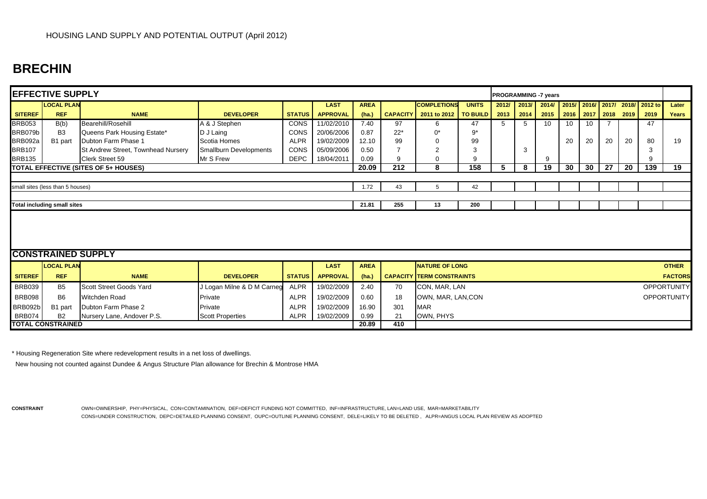## **BRECHIN**

|                | <b>EFFECTIVE SUPPLY</b>            |                                             |                            |               |                 |             |       |                                  |              | <b>PROGRAMMING -7 years</b> |       |       |    |    |                     |    |                                 |                    |
|----------------|------------------------------------|---------------------------------------------|----------------------------|---------------|-----------------|-------------|-------|----------------------------------|--------------|-----------------------------|-------|-------|----|----|---------------------|----|---------------------------------|--------------------|
|                | <b>LOCAL PLAN</b>                  |                                             |                            |               | <b>LAST</b>     | <b>AREA</b> |       | <b>COMPLETIONS</b>               | <b>UNITS</b> | 2012/                       | 2013/ | 2014/ |    |    |                     |    | 2015/ 2016/ 2017/ 2018/ 2012 to | Later              |
| <b>SITEREF</b> | <b>REF</b>                         | <b>NAME</b>                                 | <b>DEVELOPER</b>           | <b>STATUS</b> | <b>APPROVAL</b> | (ha.)       |       | CAPACITY 2011 to 2012   TO BUILD |              | 2013                        | 2014  | 2015  |    |    | 2016 2017 2018 2019 |    | 2019                            | Years              |
| <b>BRB053</b>  | B(b)                               | Bearehill/Rosehill                          | A & J Stephen              | <b>CONS</b>   | 11/02/2010      | 7.40        | 97    | 6.                               | 47           | 5                           | 5     | 10    | 10 | 10 |                     |    | 47                              |                    |
| BRB079b        | B <sub>3</sub>                     | Queens Park Housing Estate*                 | D J Laing                  | CONS          | 20/06/2006      | 0.87        | $22*$ | 0*                               | $9*$         |                             |       |       |    |    |                     |    |                                 |                    |
| BRB092a        | B1 part                            | Dubton Farm Phase 1                         | Scotia Homes               | <b>ALPR</b>   | 19/02/2009      | 12.10       | 99    |                                  | 99           |                             |       |       | 20 | 20 | 20                  | 20 | 80                              | 19                 |
| <b>BRB107</b>  |                                    | St Andrew Street, Townhead Nursery          | Smallburn Developments     | CONS          | 05/09/2006      | 0.50        |       |                                  | 3            |                             | 3     |       |    |    |                     |    | 3                               |                    |
| <b>BRB135</b>  |                                    | Clerk Street 59                             | Mr S Frew                  | <b>DEPC</b>   | 18/04/2011      | 0.09        | -9    |                                  | 9            |                             |       | 9     |    |    |                     |    | 9                               |                    |
|                |                                    | <b>TOTAL EFFECTIVE (SITES OF 5+ HOUSES)</b> |                            |               |                 | 20.09       | 212   | 8                                | 158          | 5                           | 8     | 19    | 30 | 30 | 27                  | 20 | 139                             | 19                 |
|                |                                    |                                             |                            |               |                 |             |       |                                  |              |                             |       |       |    |    |                     |    |                                 |                    |
|                | small sites (less than 5 houses)   |                                             |                            |               |                 | 1.72        | 43    | 5                                | 42           |                             |       |       |    |    |                     |    |                                 |                    |
|                |                                    |                                             |                            |               |                 |             |       |                                  |              |                             |       |       |    |    |                     |    |                                 |                    |
|                |                                    |                                             |                            |               |                 | 21.81       | 255   | 13                               | 200          |                             |       |       |    |    |                     |    |                                 |                    |
|                | <b>Total including small sites</b> |                                             |                            |               |                 |             |       |                                  |              |                             |       |       |    |    |                     |    |                                 |                    |
|                | <b>CONSTRAINED SUPPLY</b>          |                                             |                            |               |                 |             |       |                                  |              |                             |       |       |    |    |                     |    |                                 |                    |
|                | <b>LOCAL PLAN</b>                  |                                             |                            |               | <b>LAST</b>     | <b>AREA</b> |       | <b>NATURE OF LONG</b>            |              |                             |       |       |    |    |                     |    |                                 | <b>OTHER</b>       |
| <b>SITEREF</b> | <b>REF</b>                         | <b>NAME</b>                                 | <b>DEVELOPER</b>           | <b>STATUS</b> | <b>APPROVAL</b> | (ha.)       |       | <b>CAPACITY TERM CONSTRAINTS</b> |              |                             |       |       |    |    |                     |    |                                 | <b>FACTORS</b>     |
| <b>BRB039</b>  | B <sub>5</sub>                     | Scott Street Goods Yard                     | J Logan Milne & D M Carneg | <b>ALPR</b>   | 19/02/2009      | 2.40        | 70    | CON, MAR, LAN                    |              |                             |       |       |    |    |                     |    |                                 | <b>OPPORTUNITY</b> |
| <b>BRB098</b>  | <b>B6</b>                          | <b>Witchden Road</b>                        | Private                    | <b>ALPR</b>   | 19/02/2009      | 0.60        | 18    | OWN, MAR, LAN, CON               |              |                             |       |       |    |    |                     |    |                                 | <b>OPPORTUNITY</b> |
| BRB092b        | B1 part                            | Dubton Farm Phase 2                         | Private                    | <b>ALPR</b>   | 19/02/2009      | 16.90       | 301   | <b>MAR</b>                       |              |                             |       |       |    |    |                     |    |                                 |                    |
| <b>BRB074</b>  | <b>B2</b>                          | Nursery Lane, Andover P.S.                  | <b>Scott Properties</b>    | <b>ALPR</b>   | 19/02/2009      | 0.99        | 21    | OWN, PHYS                        |              |                             |       |       |    |    |                     |    |                                 |                    |
|                | <b>TOTAL CONSTRAINED</b>           |                                             |                            | 20.89         | 410             |             |       |                                  |              |                             |       |       |    |    |                     |    |                                 |                    |

\* Housing Regeneration Site where redevelopment results in a net loss of dwellings.

New housing not counted against Dundee & Angus Structure Plan allowance for Brechin & Montrose HMA

**CONSTRAINT** OWN=OWNERSHIP, PHY=PHYSICAL, CON=CONTAMINATION, DEF=DEFICIT FUNDING NOT COMMITTED, INF=INFRASTRUCTURE, LAN=LAND USE, MAR=MARKETABILITY CONS=UNDER CONSTRUCTION, DEPC=DETAILED PLANNING CONSENT, OUPC=OUTLINE PLANNING CONSENT, DELE=LIKELY TO BE DELETED , ALPR=ANGUS LOCAL PLAN REVIEW AS ADOPTED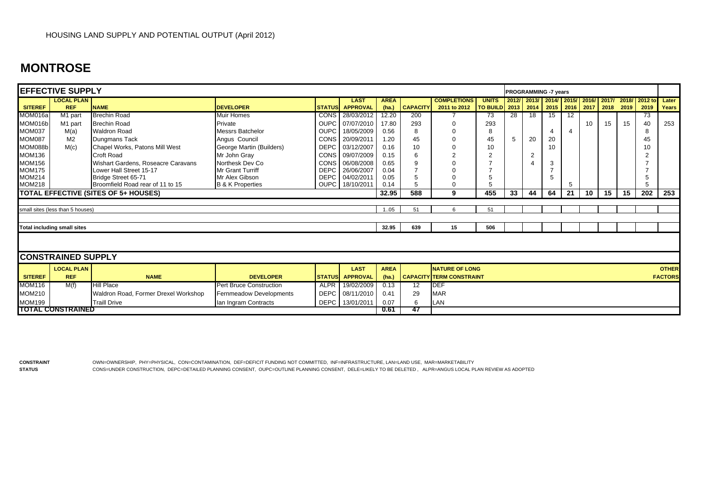## **MONTROSE**

|                | <b>EFFECTIVE SUPPLY</b>            |                                      |                                |               |                 |             |                 |                                 |                           |    | <b>PROGRAMMING -7 years</b> |      |                 |                     |    |    |                           |                |
|----------------|------------------------------------|--------------------------------------|--------------------------------|---------------|-----------------|-------------|-----------------|---------------------------------|---------------------------|----|-----------------------------|------|-----------------|---------------------|----|----|---------------------------|----------------|
|                | <b>LOCAL PLAN</b>                  |                                      |                                |               | <b>LAST</b>     | <b>AREA</b> |                 | <b>COMPLETIONS</b>              | <b>UNITS</b>              |    | 2012/ 2013/ 2014/ 2015/     |      |                 |                     |    |    | 2016/ 2017/ 2018/ 2012 to | Later          |
| <b>SITEREF</b> | <b>REF</b>                         | <b>NAME</b>                          | <b>DEVELOPER</b>               | <b>STATUS</b> | <b>APPROVAL</b> | (ha.)       | <b>CAPACITY</b> | 2011 to 2012                    | <b>TO BUILD</b> 2013 2014 |    |                             | 2015 |                 | 2016 2017 2018 2019 |    |    | 2019                      | Years          |
| MOM016a        | M1 part                            | <b>Brechin Road</b>                  | Muir Homes                     | <b>CONS</b>   | 28/03/2012      | 12.20       | 200             |                                 | 73                        | 28 | 18                          | 15   | $\overline{12}$ |                     |    |    | 73                        |                |
| MOM016b        | M1 part                            | <b>Brechin Road</b>                  | Private                        | <b>OUPC</b>   | 07/07/2010      | 17.80       | 293             |                                 | 293                       |    |                             |      |                 | 10                  | 15 | 15 | 40                        | 253            |
| <b>MOM037</b>  | M(a)                               | <b>Waldron Road</b>                  | Messrs Batchelor               | <b>OUPC</b>   | 18/05/2009      | 0.56        |                 |                                 | 8                         |    |                             | 4    | 4               |                     |    |    | 8                         |                |
| <b>MOM087</b>  | M <sub>2</sub>                     | Dungmans Tack                        | Angus Council                  | CONS          | 20/09/2011      | 1.20        | 45              |                                 | 45                        | 5  | 20                          | 20   |                 |                     |    |    | 45                        |                |
| MOM088b        | M(c)                               | Chapel Works, Patons Mill West       | George Martin (Builders)       | <b>DEPC</b>   | 03/12/2007      | 0.16        | 10              |                                 | 10                        |    |                             | 10   |                 |                     |    |    |                           |                |
| <b>MOM136</b>  |                                    | Croft Road                           | Mr John Gray                   | CONS          | 09/07/2009      | 0.15        |                 |                                 | 2                         |    | 2                           |      |                 |                     |    |    |                           |                |
| <b>MOM156</b>  |                                    | Wishart Gardens, Roseacre Caravans   | Northesk Dev Co                | CONS          | 06/08/2008      | 0.65        |                 |                                 |                           |    |                             | 3    |                 |                     |    |    |                           |                |
| <b>MOM175</b>  |                                    | Lower Hall Street 15-17              | <b>Mr Grant Turriff</b>        | <b>DEPC</b>   | 26/06/2007      | 0.04        |                 |                                 |                           |    |                             |      |                 |                     |    |    |                           |                |
| <b>MOM214</b>  |                                    | Bridge Street 65-71                  | Mr Alex Gibson                 | <b>DEPC</b>   | 04/02/2011      | 0.05        |                 |                                 |                           |    |                             | 5    |                 |                     |    |    |                           |                |
| <b>MOM218</b>  |                                    | Broomfield Road rear of 11 to 15     | <b>B &amp; K Properties</b>    | <b>OUPC</b>   | 18/10/2011      | 0.14        |                 |                                 |                           |    |                             |      | 5               |                     |    |    |                           |                |
|                |                                    | TOTAL EFFECTIVE (SITES OF 5+ HOUSES) |                                |               |                 | 32.95       | 588             | 9                               | 455                       | 33 | 44                          | 64   | 21              | 10                  | 15 | 15 | 202                       | 253            |
|                |                                    |                                      |                                |               |                 |             |                 |                                 |                           |    |                             |      |                 |                     |    |    |                           |                |
|                | small sites (less than 5 houses)   |                                      |                                |               |                 | 105         | 51              | $\epsilon$                      | 51                        |    |                             |      |                 |                     |    |    |                           |                |
|                |                                    |                                      |                                |               |                 |             |                 |                                 |                           |    |                             |      |                 |                     |    |    |                           |                |
|                | <b>Total including small sites</b> |                                      |                                |               |                 | 32.95       | 639             | 15                              | 506                       |    |                             |      |                 |                     |    |    |                           |                |
|                |                                    |                                      |                                |               |                 |             |                 |                                 |                           |    |                             |      |                 |                     |    |    |                           |                |
|                | <b>CONSTRAINED SUPPLY</b>          |                                      |                                |               |                 |             |                 |                                 |                           |    |                             |      |                 |                     |    |    |                           |                |
|                | <b>LOCAL PLAN</b>                  |                                      |                                |               | <b>LAST</b>     | <b>AREA</b> |                 | <b>NATURE OF LONG</b>           |                           |    |                             |      |                 |                     |    |    |                           | <b>OTHER</b>   |
| <b>SITEREF</b> | <b>REF</b>                         | <b>NAME</b>                          | <b>DEVELOPER</b>               | <b>STATUS</b> | <b>APPROVAL</b> | (ha.)       |                 | <b>CAPACITY TERM CONSTRAINT</b> |                           |    |                             |      |                 |                     |    |    |                           | <b>FACTORS</b> |
| <b>MOM116</b>  | M(f)                               | <b>Hill Place</b>                    | <b>Pert Bruce Construction</b> | <b>ALPR</b>   | 19/02/2009      | 0.13        | 12 <sup>°</sup> | <b>DEF</b>                      |                           |    |                             |      |                 |                     |    |    |                           |                |
| <b>MOM210</b>  |                                    | Waldron Road, Former Drexel Workshop | Fernmeadow Developments        | <b>DEPC</b>   | 08/11/2010      | 0.41        | 29              | <b>MAR</b>                      |                           |    |                             |      |                 |                     |    |    |                           |                |
| <b>MOM199</b>  |                                    | <b>Traill Drive</b>                  | Ian Ingram Contracts           | DEPC          | 13/01/2011      | 0.07        |                 | LAN                             |                           |    |                             |      |                 |                     |    |    |                           |                |
|                | <b>TOTAL CONSTRAINED</b>           |                                      |                                |               |                 | 0.61        | 47              |                                 |                           |    |                             |      |                 |                     |    |    |                           |                |

**STATUS**

**CONSTRAINT** OWN=OWNERSHIP, PHY=PHYSICAL, CON=CONTAMINATION, DEF=DEFICIT FUNDING NOT COMMITTED, INF=INFRASTRUCTURE, LAN=LAND USE, MAR=MARKETABILITY CONS=UNDER CONSTRUCTION, DEPC=DETAILED PLANNING CONSENT, OUPC=OUTLINE PLANNING CONSENT, DELE=LIKELY TO BE DELETED , ALPR=ANGUS LOCAL PLAN REVIEW AS ADOPTED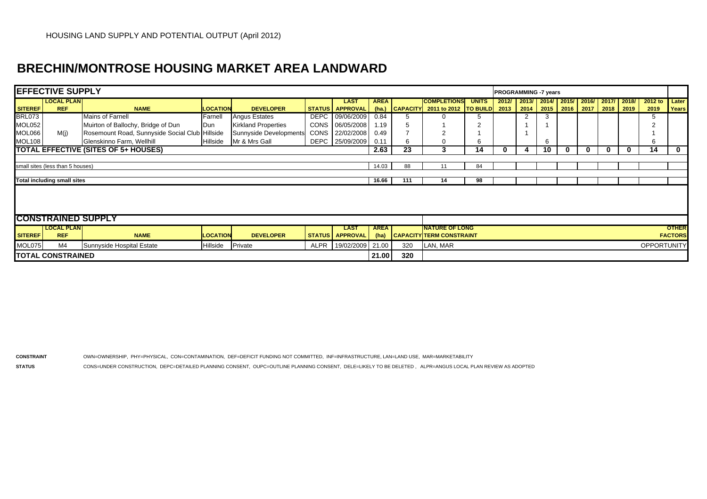## **BRECHIN/MONTROSE HOUSING MARKET AREA LANDWARD**

|                | <b>EFFECTIVE SUPPLY</b>            |                                                |                 |                            |             |                            |             |     |                                                           |              | <b>PROGRAMMING -7 years</b> |                                   |    |   |                   |      |       |                    |                |
|----------------|------------------------------------|------------------------------------------------|-----------------|----------------------------|-------------|----------------------------|-------------|-----|-----------------------------------------------------------|--------------|-----------------------------|-----------------------------------|----|---|-------------------|------|-------|--------------------|----------------|
|                | <b>LOCAL PLAN</b>                  |                                                |                 |                            |             | <b>LAST</b>                | <b>AREA</b> |     | <b>COMPLETIONS</b>                                        | <b>UNITS</b> | 2012/                       | $\mid$ 2013/ 2014/                |    |   | 2015/ 2016/ 2017/ |      | 2018/ | 2012 to            | Later          |
| <b>SITEREF</b> | <b>REF</b>                         | <b>NAME</b>                                    | <b>LOCATION</b> | <b>DEVELOPER</b>           |             |                            |             |     | STATUS APPROVAL (ha.) CAPACITY 2011 to 2012 TO BUILD 2013 |              |                             | $\vert$ 2014 $\vert$ 2015 $\vert$ |    |   | 2016 2017         | 2018 | 2019  | 2019               | <b>Years</b>   |
| <b>BRL073</b>  |                                    | Mains of Farnell                               | Farnell         | <b>Angus Estates</b>       | DEPC        | 09/06/2009                 | 0.84        |     |                                                           |              |                             |                                   | 3  |   |                   |      |       |                    |                |
| MOL052         |                                    | Muirton of Ballochy, Bridge of Dun             | Dun             | <b>Kirkland Properties</b> | <b>CONS</b> | 06/05/2008                 | 1.19        |     |                                                           |              |                             |                                   |    |   |                   |      |       |                    |                |
| MOL066         | M(i)                               | Rosemount Road, Sunnyside Social Club Hillside |                 | Sunnyside Developments     | CONS        | 22/02/2008                 | 0.49        |     |                                                           |              |                             |                                   |    |   |                   |      |       |                    |                |
| MOL108         |                                    | Glenskinno Farm, Wellhill                      | Hillside        | Mr & Mrs Gall              | DEPC        | 25/09/2009                 | 0.11        | 6   |                                                           | 'n           |                             |                                   | 6  |   |                   |      |       | 6                  |                |
|                |                                    | <b>TOTAL EFFECTIVE (SITES OF 5+ HOUSES)</b>    |                 |                            |             |                            | 2.63        | 23  | 3                                                         | 14           |                             |                                   | 10 | 0 |                   | 0    | 0     | 14                 | $\mathbf 0$    |
|                |                                    |                                                |                 |                            |             |                            |             |     |                                                           |              |                             |                                   |    |   |                   |      |       |                    |                |
|                | small sites (less than 5 houses)   |                                                |                 |                            |             |                            | 14.03       | 88  |                                                           | 84           |                             |                                   |    |   |                   |      |       |                    |                |
|                |                                    |                                                |                 |                            |             |                            |             |     |                                                           |              |                             |                                   |    |   |                   |      |       |                    |                |
|                | <b>Total including small sites</b> |                                                |                 |                            |             |                            | 16.66       | 111 | 14                                                        | 98           |                             |                                   |    |   |                   |      |       |                    |                |
|                |                                    |                                                |                 |                            |             |                            |             |     |                                                           |              |                             |                                   |    |   |                   |      |       |                    |                |
|                |                                    |                                                |                 |                            |             |                            |             |     |                                                           |              |                             |                                   |    |   |                   |      |       |                    |                |
|                |                                    |                                                |                 |                            |             |                            |             |     |                                                           |              |                             |                                   |    |   |                   |      |       |                    |                |
|                | <b>CONSTRAINED SUPPLY</b>          |                                                |                 |                            |             |                            |             |     |                                                           |              |                             |                                   |    |   |                   |      |       |                    |                |
|                | <b>LOCAL PLANI</b>                 |                                                |                 |                            |             | <b>LAST</b>                | <b>AREA</b> |     | <b>INATURE OF LONG</b>                                    |              |                             |                                   |    |   |                   |      |       |                    | <b>OTHER</b>   |
| <b>SITEREF</b> | <b>REF</b>                         | <b>NAME</b>                                    | <b>LOCATION</b> | <b>DEVELOPER</b>           |             | <b>STATUS   APPROVAL  </b> | (ha)        |     | <b>CAPACITY TERM CONSTRAINT</b>                           |              |                             |                                   |    |   |                   |      |       |                    | <b>FACTORS</b> |
| MOL075         | M4                                 | Sunnyside Hospital Estate                      | Hillside        | Private                    | ALPR        | 19/02/2009                 | 21.00       | 320 | LAN, MAR                                                  |              |                             |                                   |    |   |                   |      |       | <b>OPPORTUNITY</b> |                |
|                | <b>TOTAL CONSTRAINED</b>           |                                                |                 |                            |             |                            | 21.00       | 320 |                                                           |              |                             |                                   |    |   |                   |      |       |                    |                |

**CONSTRAINT** OWN=OWNERSHIP, PHY=PHYSICAL, CON=CONTAMINATION, DEF=DEFICIT FUNDING NOT COMMITTED, INF=INFRASTRUCTURE, LAN=LAND USE, MAR=MARKETABILITY

**STATUS**CONS=UNDER CONSTRUCTION, DEPC=DETAILED PLANNING CONSENT, OUPC=OUTLINE PLANNING CONSENT, DELE=LIKELY TO BE DELETED , ALPR=ANGUS LOCAL PLAN REVIEW AS ADOPTED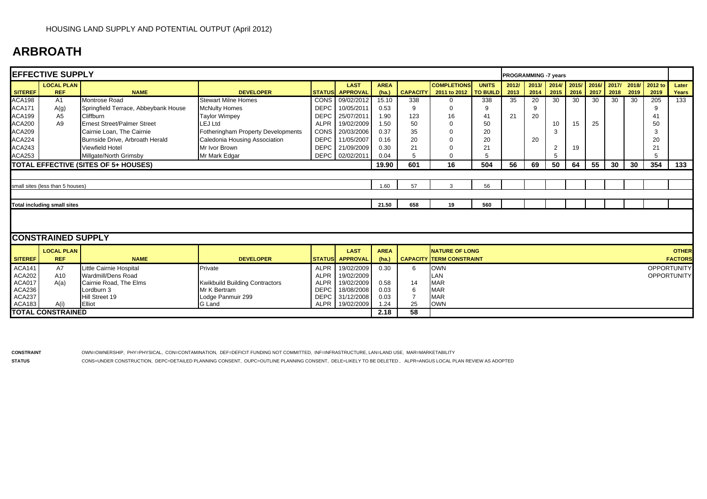## **ARBROATH**

|                | <b>EFFECTIVE SUPPLY</b>            |                                      |                                       |             |                        |             |                 |                                 |              | <b>PROGRAMMING -7 years</b> |       |                |       |       |      |      |                     |                    |
|----------------|------------------------------------|--------------------------------------|---------------------------------------|-------------|------------------------|-------------|-----------------|---------------------------------|--------------|-----------------------------|-------|----------------|-------|-------|------|------|---------------------|--------------------|
|                | <b>LOCAL PLAN</b>                  |                                      |                                       |             | <b>LAST</b>            | <b>AREA</b> |                 | <b>COMPLETIONS</b>              | <b>UNITS</b> | 2012/                       | 2013/ | 2014/          | 2015/ | 2016/ |      |      | 2017/ 2018/ 2012 to | Later              |
| <b>SITEREF</b> | <b>REF</b>                         | <b>NAME</b>                          | <b>DEVELOPER</b>                      |             | STATUS APPROVAL        | (ha.)       | <b>CAPACITY</b> | 2011 to 2012   TO BUILD         |              | 2013                        | 2014  | 2015           | 2016  | 2017  | 2018 | 2019 | 2019                | Years              |
| <b>ACA198</b>  | A1                                 | Montrose Road                        | <b>Stewart Milne Homes</b>            | CONS        | 09/02/2012             | 15.10       | 338             | $\Omega$                        | 338          | 35                          | 20    | 30             | 30    | 30    | 30   | 30   | 205                 | 133                |
| <b>ACA171</b>  | A(g)                               | Springfield Terrace, Abbeybank House | <b>McNulty Homes</b>                  | <b>DEPC</b> | 10/05/2011             | 0.53        | 9               | $\Omega$                        | 9            |                             | 9     |                |       |       |      |      | 9                   |                    |
| <b>ACA199</b>  | A <sub>5</sub>                     | Cliffburn                            | <b>Taylor Wimpey</b>                  | <b>DEPC</b> | 25/07/2011             | 1.90        | 123             | 16                              | 41           | 21                          | 20    |                |       |       |      |      | 41                  |                    |
| <b>ACA200</b>  | A9                                 | <b>Ernest Street/Palmer Street</b>   | <b>LEJ Ltd</b>                        | <b>ALPR</b> | 19/02/2009             | 1.50        | 50              | $\Omega$                        | 50           |                             |       | 10             | 15    | 25    |      |      | 50                  |                    |
| <b>ACA209</b>  |                                    | Cairnie Loan, The Cairnie            | Fotheringham Property Developments    | CONS        | 20/03/2006             | 0.37        | 35              | $\Omega$                        | 20           |                             |       | 3              |       |       |      |      | 3                   |                    |
| <b>ACA224</b>  |                                    | Burnside Drive, Arbroath Herald      | Caledonia Housing Association         | <b>DEPC</b> | 11/05/2007             | 0.16        | 20              | $\Omega$                        | 20           |                             | 20    |                |       |       |      |      | 20                  |                    |
| <b>ACA243</b>  |                                    | <b>Viewfield Hotel</b>               | Mr Ivor Brown                         | <b>DEPC</b> | 21/09/2009             | 0.30        | 21              | 0                               | 21           |                             |       | $\overline{2}$ | 19    |       |      |      | 21                  |                    |
| <b>ACA253</b>  |                                    | Millgate/North Grimsby               | Mr Mark Edgar                         | <b>DEPC</b> | 02/02/2011             | 0.04        | 5               | $\Omega$                        | 5            |                             |       |                |       |       |      |      | 5                   |                    |
|                |                                    | TOTAL EFFECTIVE (SITES OF 5+ HOUSES) |                                       |             |                        | 19.90       | 601             | 16                              | 504          | 56                          | 69    | 50             | 64    | 55    | 30   | 30   | 354                 | 133                |
|                |                                    |                                      |                                       |             |                        |             |                 |                                 |              |                             |       |                |       |       |      |      |                     |                    |
|                | small sites (less than 5 houses)   |                                      |                                       |             |                        | 1.60        | 57              | 3                               | 56           |                             |       |                |       |       |      |      |                     |                    |
|                |                                    |                                      |                                       |             |                        |             |                 |                                 |              |                             |       |                |       |       |      |      |                     |                    |
|                | <b>Total including small sites</b> |                                      |                                       |             |                        | 21.50       | 658             | 19                              | 560          |                             |       |                |       |       |      |      |                     |                    |
|                |                                    |                                      |                                       |             |                        |             |                 |                                 |              |                             |       |                |       |       |      |      |                     |                    |
|                |                                    |                                      |                                       |             |                        |             |                 |                                 |              |                             |       |                |       |       |      |      |                     |                    |
|                | <b>CONSTRAINED SUPPLY</b>          |                                      |                                       |             |                        |             |                 |                                 |              |                             |       |                |       |       |      |      |                     |                    |
|                | <b>LOCAL PLAN</b>                  |                                      |                                       |             | <b>LAST</b>            | <b>AREA</b> |                 | <b>NATURE OF LONG</b>           |              |                             |       |                |       |       |      |      |                     | <b>OTHER</b>       |
| <b>SITEREF</b> | <b>REF</b>                         | <b>NAME</b>                          | <b>DEVELOPER</b>                      |             | <b>STATUS</b> APPROVAL | (ha.)       |                 | <b>CAPACITY TERM CONSTRAINT</b> |              |                             |       |                |       |       |      |      |                     | <b>FACTORS</b>     |
| <b>ACA141</b>  | <b>A7</b>                          | Little Cairnie Hospital              | Private                               | <b>ALPR</b> | 19/02/2009             | 0.30        | 6               | <b>OWN</b>                      |              |                             |       |                |       |       |      |      |                     | <b>OPPORTUNITY</b> |
| <b>ACA202</b>  | A10                                | Wardmill/Dens Road                   |                                       | <b>ALPR</b> | 19/02/2009             |             |                 | LAN                             |              |                             |       |                |       |       |      |      |                     | <b>OPPORTUNITY</b> |
| ACA017         | A(a)                               | Cairnie Road, The Elms               | <b>Kwikbuild Building Contractors</b> | <b>ALPR</b> | 19/02/2009             | 0.58        | 14              | <b>MAR</b>                      |              |                             |       |                |       |       |      |      |                     |                    |
| <b>ACA236</b>  |                                    | Lordburn 3                           | Mr K Bertram                          | <b>DEPC</b> | 18/08/2008             | 0.03        | 6               | <b>MAR</b>                      |              |                             |       |                |       |       |      |      |                     |                    |
| ACA237         |                                    | Hill Street 19                       | Lodge Panmuir 299                     | <b>DEPC</b> | 31/12/2008             | 0.03        | $\overline{7}$  | <b>MAR</b>                      |              |                             |       |                |       |       |      |      |                     |                    |
| <b>ACA183</b>  | A(i)                               | Elliot                               | G Land                                | <b>ALPR</b> | 19/02/2009             | 1.24        | 25              | <b>OWN</b>                      |              |                             |       |                |       |       |      |      |                     |                    |
|                | <b>TOTAL CONSTRAINED</b>           |                                      |                                       |             |                        | 2.18        | 58              |                                 |              |                             |       |                |       |       |      |      |                     |                    |

**CONSTRAINT** OWN=OWNERSHIP, PHY=PHYSICAL, CON=CONTAMINATION, DEF=DEFICIT FUNDING NOT COMMITTED, INF=INFRASTRUCTURE, LAN=LAND USE, MAR=MARKETABILITY

**STATUS**CONS=UNDER CONSTRUCTION, DEPC=DETAILED PLANNING CONSENT, OUPC=OUTLINE PLANNING CONSENT, DELE=LIKELY TO BE DELETED , ALPR=ANGUS LOCAL PLAN REVIEW AS ADOPTED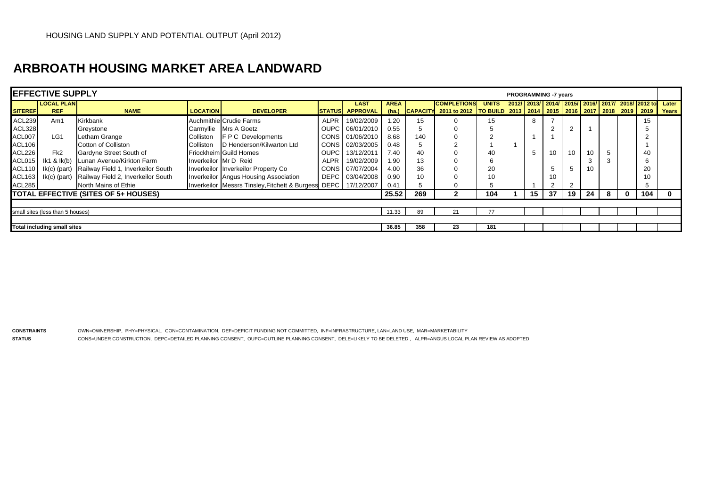## **ARBROATH HOUSING MARKET AREA LANDWARD**

|                | <b>IEFFECTIVE SUPPLY</b>           |                                             |                       |                                                                  |             |                                       |                      |                 |                                                                                                        |              |  |    | <b>PROGRAMMING -7 years</b> |                |    |   |                                            |     |                |
|----------------|------------------------------------|---------------------------------------------|-----------------------|------------------------------------------------------------------|-------------|---------------------------------------|----------------------|-----------------|--------------------------------------------------------------------------------------------------------|--------------|--|----|-----------------------------|----------------|----|---|--------------------------------------------|-----|----------------|
| <b>SITEREF</b> | <b>LOCAL PLAN</b><br><b>REF</b>    | <b>NAME</b>                                 | <b>LOCATION</b>       | <b>DEVELOPER</b>                                                 |             | <b>LAST</b><br><b>STATUS APPROVAL</b> | <b>AREA</b><br>(ha.) | <b>CAPACITY</b> | <b>ICOMPLETIONS</b><br>2011 to 2012   TO BUILD   2013   2014   2015   2016   2017   2018   2019   2019 | <b>UNITS</b> |  |    |                             |                |    |   | 2012/2013/2014/2015/2016/2017/2018/2012 to |     | Later<br>Years |
|                |                                    |                                             |                       |                                                                  |             |                                       |                      |                 |                                                                                                        |              |  |    |                             |                |    |   |                                            |     |                |
| <b>ACL239</b>  | Am1                                | Kirkbank                                    |                       | Auchmithie Crudie Farms                                          | <b>ALPR</b> | 19/02/2009                            | 1.20                 | 15              | $\Omega$                                                                                               | 15           |  | 8  |                             |                |    |   |                                            | 15  |                |
| ACL328         |                                    | Greystone                                   |                       | Carmyllie Mrs A Goetz                                            |             | OUPC 06/01/2010                       | 0.55                 |                 | $\Omega$                                                                                               | b            |  |    |                             | $\overline{2}$ |    |   |                                            |     |                |
| ACL007         | LG <sub>1</sub>                    | Letham Grange                               | Colliston             | <b>FPC</b> Developments                                          |             | CONS 01/06/2010                       | 8.68                 | 140             | $\Omega$                                                                                               |              |  |    |                             |                |    |   |                                            |     |                |
| <b>ACL106</b>  |                                    | Cotton of Colliston                         | Colliston             | D Henderson/Kilwarton Ltd                                        |             | CONS 02/03/2005                       | 0.48                 |                 |                                                                                                        |              |  |    |                             |                |    |   |                                            |     |                |
| ACL226         | Fk <sub>2</sub>                    | Gardyne Street South of                     |                       | <b>Friockheim Guild Homes</b>                                    | OUPC I      | 13/12/2011                            | 7.40                 | 40              |                                                                                                        | 40           |  | 5  | 10                          | 10             | 10 |   |                                            | 40  |                |
| ACL015         |                                    | Ik1 & Ik(b) Lunan Avenue/Kirkton Farm       | Inverkeilor Mr D Reid |                                                                  | ALPR        | 19/02/2009                            | 1.90                 | 13              |                                                                                                        | 3<br>6       |  |    |                             |                |    |   |                                            |     |                |
| <b>ACL110</b>  | $lk(c)$ (part)                     | Railway Field 1, Inverkeilor South          |                       | Inverkeilor Inverkeilor Property Co                              |             | CONS 07/07/2004                       | 4.00                 | 36              |                                                                                                        | 20           |  |    |                             | 5              | 10 |   |                                            | 20  |                |
| ACL163         | $lk(c)$ (part)                     | Railway Field 2, Inverkeilor South          |                       | Inverkeilor Angus Housing Association                            |             | DEPC 03/04/2008                       | 0.90                 | 10              |                                                                                                        |              |  |    | 10                          |                |    |   |                                            | 10  |                |
| ACL285         |                                    | North Mains of Ethie                        |                       | Inverkeilor Messrs Tinsley, Fitchett & Burgess DEPC   17/12/2007 |             |                                       | 0.41                 |                 | $\Omega$                                                                                               |              |  |    | ົ                           | $\overline{2}$ |    |   |                                            |     |                |
|                |                                    | <b>TOTAL EFFECTIVE (SITES OF 5+ HOUSES)</b> |                       |                                                                  |             |                                       | 25.52                | 269             | 2                                                                                                      | 104          |  | 15 | 37                          | 19             | 24 | 8 | $\mathbf{0}$                               | 104 |                |
|                |                                    |                                             |                       |                                                                  |             |                                       |                      |                 |                                                                                                        |              |  |    |                             |                |    |   |                                            |     |                |
|                | small sites (less than 5 houses)   |                                             |                       |                                                                  |             |                                       | 11.33                | 89              | 21                                                                                                     |              |  |    |                             |                |    |   |                                            |     |                |
|                |                                    |                                             |                       |                                                                  |             |                                       |                      |                 |                                                                                                        |              |  |    |                             |                |    |   |                                            |     |                |
|                | <b>Total including small sites</b> |                                             |                       | 36.85                                                            | 358         | 23                                    | 181                  |                 |                                                                                                        |              |  |    |                             |                |    |   |                                            |     |                |

**CONSTRAINTS** OWN=OWNERSHIP, PHY=PHYSICAL, CON=CONTAMINATION, DEF=DEFICIT FUNDING NOT COMMITTED, INF=INFRASTRUCTURE, LAN=LAND USE, MAR=MARKETABILITY

**STATUS**CONS=UNDER CONSTRUCTION, DEPC=DETAILED PLANNING CONSENT, OUPC=OUTLINE PLANNING CONSENT, DELE=LIKELY TO BE DELETED , ALPR=ANGUS LOCAL PLAN REVIEW AS ADOPTED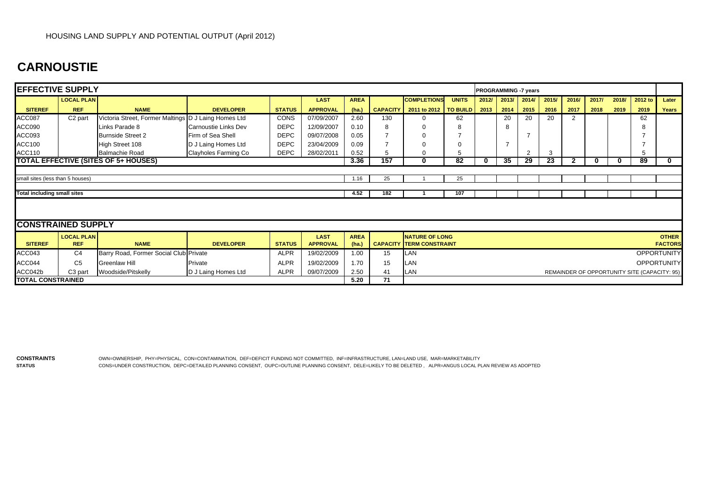## **CARNOUSTIE**

| <b>EFFECTIVE SUPPLY</b>            |                                        |                                                      |                      |               |                 |             |                 |                                 |                 |       | PROGRAMMING -7 years |       |       |              |       |       |                                              |                    |
|------------------------------------|----------------------------------------|------------------------------------------------------|----------------------|---------------|-----------------|-------------|-----------------|---------------------------------|-----------------|-------|----------------------|-------|-------|--------------|-------|-------|----------------------------------------------|--------------------|
|                                    | <b>LOCAL PLAN</b>                      |                                                      |                      |               | <b>LAST</b>     | <b>AREA</b> |                 | <b>COMPLETIONS</b>              | <b>UNITS</b>    | 2012/ | 2013/                | 2014/ | 2015/ | 2016/        | 2017/ | 2018/ | 2012 to                                      | Later              |
| <b>SITEREF</b>                     | <b>REF</b>                             | <b>NAME</b>                                          | <b>DEVELOPER</b>     | <b>STATUS</b> | <b>APPROVAL</b> | (ha.)       | <b>CAPACITY</b> | 2011 to 2012   TO BUILD         |                 | 2013  | 2014                 | 2015  | 2016  | 2017         | 2018  | 2019  | 2019                                         | Years              |
| <b>ACC087</b>                      | C <sub>2</sub> part                    | Victoria Street, Former Maltings D J Laing Homes Ltd |                      | <b>CONS</b>   | 07/09/2007      | 2.60        | 130             |                                 | 62              |       | 20                   | 20    | 20    |              |       |       | 62                                           |                    |
| ACC090                             |                                        | Links Parade 8                                       | Carnoustie Links Dev | <b>DEPC</b>   | 12/09/2007      | 0.10        |                 |                                 |                 |       | 8                    |       |       |              |       |       |                                              |                    |
| ACC093                             |                                        | <b>Burnside Street 2</b>                             | Firm of Sea Shell    | <b>DEPC</b>   | 09/07/2008      | 0.05        |                 |                                 |                 |       |                      |       |       |              |       |       |                                              |                    |
| <b>ACC100</b>                      |                                        | High Street 108                                      | D J Laing Homes Ltd  | <b>DEPC</b>   | 23/04/2009      | 0.09        |                 |                                 |                 |       |                      |       |       |              |       |       |                                              |                    |
| <b>ACC110</b>                      |                                        | <b>Balmachie Road</b>                                | Clayholes Farming Co | <b>DEPC</b>   | 28/02/2011      | 0.52        |                 | $\Omega$                        |                 |       |                      | ◠     | 3     |              |       |       | 5                                            |                    |
|                                    |                                        | <b>TOTAL EFFECTIVE (SITES OF 5+ HOUSES)</b>          |                      |               |                 | 3.36        | 157             | 0                               | $\overline{82}$ |       | 35                   | 29    | 23    | $\mathbf{2}$ | 0     | 0     | 89                                           | 0                  |
|                                    |                                        |                                                      |                      |               |                 |             |                 |                                 |                 |       |                      |       |       |              |       |       |                                              |                    |
| small sites (less than 5 houses)   |                                        |                                                      |                      |               |                 | 1.16        | 25              |                                 | 25              |       |                      |       |       |              |       |       |                                              |                    |
|                                    |                                        |                                                      |                      |               |                 |             |                 |                                 |                 |       |                      |       |       |              |       |       |                                              |                    |
| <b>Total including small sites</b> |                                        |                                                      |                      |               |                 | 4.52        | 182             |                                 | 107             |       |                      |       |       |              |       |       |                                              |                    |
|                                    |                                        |                                                      |                      |               |                 |             |                 |                                 |                 |       |                      |       |       |              |       |       |                                              |                    |
|                                    |                                        |                                                      |                      |               |                 |             |                 |                                 |                 |       |                      |       |       |              |       |       |                                              |                    |
| <b>CONSTRAINED SUPPLY</b>          |                                        |                                                      |                      |               |                 |             |                 |                                 |                 |       |                      |       |       |              |       |       |                                              |                    |
|                                    | <b>LOCAL PLAN</b>                      |                                                      |                      |               | <b>LAST</b>     | <b>AREA</b> |                 | <b>NATURE OF LONG</b>           |                 |       |                      |       |       |              |       |       |                                              | <b>OTHER</b>       |
| <b>SITEREF</b>                     | <b>REF</b>                             | <b>NAME</b>                                          | <b>DEVELOPER</b>     | <b>STATUS</b> | <b>APPROVAL</b> | (ha.)       |                 | <b>CAPACITY TERM CONSTRAINT</b> |                 |       |                      |       |       |              |       |       |                                              | <b>FACTORS</b>     |
| ACC043                             | C <sub>4</sub>                         | Barry Road, Former Social Club Private               |                      | <b>ALPR</b>   | 19/02/2009      | 1.00        | 15              | LAN                             |                 |       |                      |       |       |              |       |       |                                              | <b>OPPORTUNITY</b> |
| ACC044                             | C <sub>5</sub>                         | Greenlaw Hill                                        | Private              | <b>ALPR</b>   | 19/02/2009      | 1.70        | 15              | LAN                             |                 |       |                      |       |       |              |       |       |                                              | <b>OPPORTUNITY</b> |
| ACC042b                            | C <sub>3</sub> part                    | Woodside/Pitskelly                                   | D J Laing Homes Ltd  | <b>ALPR</b>   | 09/07/2009      | 2.50        | 41              | LAN                             |                 |       |                      |       |       |              |       |       | REMAINDER OF OPPORTUNITY SITE (CAPACITY: 95) |                    |
|                                    | <b>TOTAL CONSTRAINED</b><br>71<br>5.20 |                                                      |                      |               |                 |             |                 |                                 |                 |       |                      |       |       |              |       |       |                                              |                    |

**CONSTRAINTSSTATUS**

 OWN=OWNERSHIP, PHY=PHYSICAL, CON=CONTAMINATION, DEF=DEFICIT FUNDING NOT COMMITTED, INF=INFRASTRUCTURE, LAN=LAND USE, MAR=MARKETABILITY CONS=UNDER CONSTRUCTION, DEPC=DETAILED PLANNING CONSENT, OUPC=OUTLINE PLANNING CONSENT, DELE=LIKELY TO BE DELETED , ALPR=ANGUS LOCAL PLAN REVIEW AS ADOPTED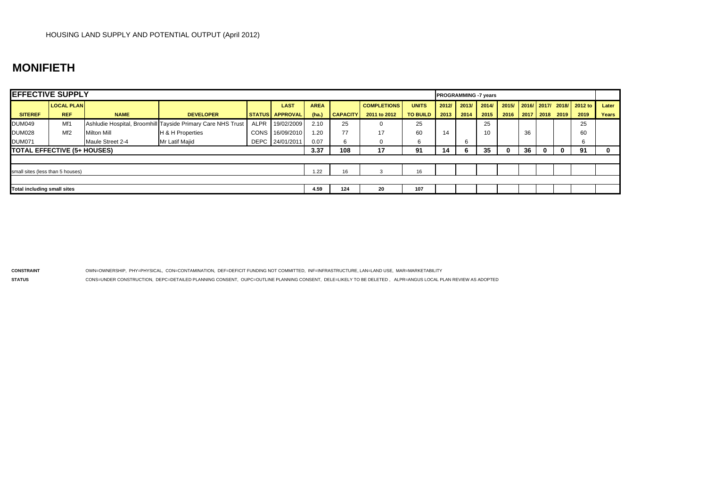#### **MONIFIETH**

| <b>EFFECTIVE SUPPLY</b>            |                   |                    |                                                             |             |                        |             |                 |                    |                 |       | <b>PROGRAMMING -7 years</b> |       |          |          |           |      |                           |       |
|------------------------------------|-------------------|--------------------|-------------------------------------------------------------|-------------|------------------------|-------------|-----------------|--------------------|-----------------|-------|-----------------------------|-------|----------|----------|-----------|------|---------------------------|-------|
|                                    | <b>LOCAL PLAN</b> |                    |                                                             |             | <b>LAST</b>            | <b>AREA</b> |                 | <b>COMPLETIONS</b> | <b>UNITS</b>    | 2012/ | 2013/                       | 2014/ | 2015/    |          |           |      | 2016/ 2017/ 2018/ 2012 to | Later |
| <b>SITEREF</b>                     | <b>REF</b>        | <b>NAME</b>        | <b>DEVELOPER</b>                                            |             | <b>STATUS APPROVAL</b> | (ha.)       | <b>CAPACITY</b> | 2011 to 2012       | <b>TO BUILD</b> | 2013  | 2014                        | 2015  | 2016     |          | 2017 2018 | 2019 | 2019                      | Years |
| <b>DUM049</b>                      | Mf1               |                    | Ashludie Hospital, Broomhill Tayside Primary Care NHS Trust | <b>ALPR</b> | 19/02/2009             | 2.10        | 25              | 0                  | 25              |       |                             | 25    |          |          |           |      | 25                        |       |
| <b>DUM028</b>                      | Mf <sub>2</sub>   | <b>Milton Mill</b> | H & H Properties                                            |             | CONS 16/09/2010        | 1.20        | 77              | 17                 | 60              | 14    |                             | 10    |          | 36       |           |      | 60                        |       |
| <b>DUM071</b>                      |                   | Maule Street 2-4   | Mr Latif Majid                                              |             | DEPC 24/01/2011        | 0.07        | 6               |                    | 6               |       |                             |       |          |          |           |      | 6                         |       |
| <b>TOTAL EFFECTIVE (5+ HOUSES)</b> |                   |                    |                                                             | 3.37        | 108                    | 17          | 91              | 14                 |                 | 35    |                             | 36    | $\bf{0}$ | $\Omega$ | 91        | 0    |                           |       |
|                                    |                   |                    |                                                             |             |                        |             |                 |                    |                 |       |                             |       |          |          |           |      |                           |       |
| small sites (less than 5 houses)   |                   |                    |                                                             |             |                        | 1.22        | 16              |                    | 16              |       |                             |       |          |          |           |      |                           |       |
|                                    |                   |                    |                                                             |             |                        |             |                 |                    |                 |       |                             |       |          |          |           |      |                           |       |
| Total including small sites        |                   |                    |                                                             |             | 4.59                   | 124         | 20              | 107                |                 |       |                             |       |          |          |           |      |                           |       |

**CONSTRAINT** OWN=OWNERSHIP, PHY=PHYSICAL, CON=CONTAMINATION, DEF=DEFICIT FUNDING NOT COMMITTED, INF=INFRASTRUCTURE, LAN=LAND USE, MAR=MARKETABILITY

**STATUS**

CONS=UNDER CONSTRUCTION, DEPC=DETAILED PLANNING CONSENT, OUPC=OUTLINE PLANNING CONSENT, DELE=LIKELY TO BE DELETED , ALPR=ANGUS LOCAL PLAN REVIEW AS ADOPTED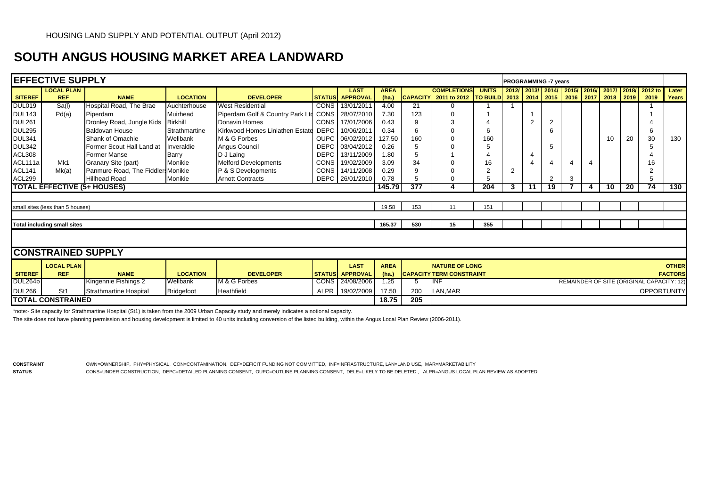## **SOUTH ANGUS HOUSING MARKET AREA LANDWARD**

|                | <b>EFFECTIVE SUPPLY</b>            |                                    |                   |                                      |             |                                       |                      |     |                                                                                                       |              |                |    | <b>PROGRAMMING -7 years</b> |   |   |    |    |                                                           |                |
|----------------|------------------------------------|------------------------------------|-------------------|--------------------------------------|-------------|---------------------------------------|----------------------|-----|-------------------------------------------------------------------------------------------------------|--------------|----------------|----|-----------------------------|---|---|----|----|-----------------------------------------------------------|----------------|
| <b>SITEREF</b> | <b>LOCAL PLAN</b><br><b>REF</b>    | <b>NAME</b>                        | <b>LOCATION</b>   | <b>DEVELOPER</b>                     |             | <b>LAST</b><br><b>STATUS</b> APPROVAL | <b>AREA</b><br>(ha.) |     | <b>COMPLETIONS</b><br>CAPACITY 2011 to 2012   TO BUILD 2013   2014   2015   2016   2017   2018   2019 | <b>UNITS</b> |                |    |                             |   |   |    |    | 2012/ 2013/ 2014/ 2015/ 2016/ 2017/ 2018/ 2012 to<br>2019 | Later<br>Years |
| <b>DUL019</b>  | Sa(1)                              | Hospital Road, The Brae            | Auchterhouse      | <b>West Residential</b>              |             | CONS 13/01/2011                       | 4.00                 | 21  | 0                                                                                                     |              |                |    |                             |   |   |    |    |                                                           |                |
| <b>DUL143</b>  | Pd(a)                              | Piperdam                           | Muirhead          | Piperdam Golf & Country Park Ltd     | <b>CONS</b> | 28/07/2010                            | 7.30                 | 123 |                                                                                                       |              |                |    |                             |   |   |    |    |                                                           |                |
| <b>DUL261</b>  |                                    | Dronley Road, Jungle Kids          | <b>Birkhill</b>   | Donavin Homes                        | CONS I      | 17/01/2006                            | 0.43                 |     |                                                                                                       |              |                |    |                             |   |   |    |    |                                                           |                |
| <b>DUL295</b>  |                                    | <b>Baldovan House</b>              | Strathmartine     | Kirkwood Homes Linlathen Estate DEPC |             | 10/06/2011                            | 0.34                 |     |                                                                                                       |              |                |    | 6                           |   |   |    |    |                                                           |                |
| <b>DUL341</b>  |                                    | Shank of Omachie                   | Wellbank          | M & G Forbes                         | <b>OUPC</b> | 06/02/2012                            | 127.50               | 160 |                                                                                                       | 160          |                |    |                             |   |   | 10 | 20 | 30                                                        | 130            |
| <b>DUL342</b>  |                                    | Former Scout Hall Land at          | Inveraldie        | Angus Council                        | <b>DEPC</b> | 03/04/2012                            | 0.26                 |     |                                                                                                       |              |                |    | 5                           |   |   |    |    |                                                           |                |
| <b>ACL308</b>  |                                    | <b>Former Manse</b>                | Barry             | D J Laing                            | <b>DEPC</b> | 13/11/2009                            | 1.80                 |     |                                                                                                       |              |                | 4  |                             |   |   |    |    |                                                           |                |
| ACL111a        | Mk1                                | Granary Site (part)                | Monikie           | <b>Melford Developments</b>          | <b>CONS</b> | 19/02/2009                            | 3.09                 | 34  |                                                                                                       | 16           |                |    |                             | 4 | 4 |    |    |                                                           |                |
| <b>ACL141</b>  | Mk(a)                              | Panmure Road, The Fiddlers Monikie |                   | P & S Developments                   | CONS        | 14/11/2008                            | 0.29                 |     |                                                                                                       |              | $\overline{2}$ |    |                             |   |   |    |    |                                                           |                |
| ACL299         |                                    | <b>Hillhead Road</b>               | Monikie           | <b>Arnott Contracts</b>              | DEPC        | 26/01/2010                            | 0.78                 |     |                                                                                                       |              |                |    | $\overline{2}$              | 3 |   |    |    |                                                           |                |
|                |                                    | <b>TOTAL EFFECTIVE (5+ HOUSES)</b> |                   |                                      |             |                                       | 145.79               | 377 |                                                                                                       | 204          | 3              | 11 | 19                          |   | 4 | 10 | 20 | 74                                                        | 130            |
|                |                                    |                                    |                   |                                      |             |                                       |                      |     |                                                                                                       |              |                |    |                             |   |   |    |    |                                                           |                |
|                | small sites (less than 5 houses)   |                                    |                   |                                      |             |                                       | 19.58                | 153 |                                                                                                       | 151          |                |    |                             |   |   |    |    |                                                           |                |
|                |                                    |                                    |                   |                                      |             |                                       |                      |     |                                                                                                       |              |                |    |                             |   |   |    |    |                                                           |                |
|                | <b>Total including small sites</b> |                                    |                   |                                      |             |                                       | 165.37               | 530 | 15                                                                                                    | 355          |                |    |                             |   |   |    |    |                                                           |                |
|                | <b>CONSTRAINED SUPPLY</b>          |                                    |                   |                                      |             |                                       |                      |     |                                                                                                       |              |                |    |                             |   |   |    |    |                                                           |                |
|                | <b>LOCAL PLAN</b>                  |                                    |                   |                                      |             | <b>LAST</b>                           | <b>AREA</b>          |     | <b>NATURE OF LONG</b>                                                                                 |              |                |    |                             |   |   |    |    |                                                           | <b>OTHER</b>   |
| <b>SITEREF</b> | <b>REF</b>                         | <b>NAME</b>                        | <b>LOCATION</b>   | <b>DEVELOPER</b>                     |             | <b>STATUS</b> APPROVAL                | (ha.)                |     | <b>CAPACITY TERM CONSTRAINT</b>                                                                       |              |                |    |                             |   |   |    |    |                                                           | <b>FACTORS</b> |
| <b>DUL264b</b> |                                    | <b>Kingennie Fishings 2</b>        | Wellbank          | M & G Forbes                         |             | CONS 24/08/2006                       | 1.25                 | Ð.  | INF                                                                                                   |              |                |    |                             |   |   |    |    | REMAINDER OF SITE (ORIGINAL CAPACITY: 12)                 |                |
| <b>DUL266</b>  | St1                                | <b>Strathmartine Hospital</b>      | <b>Bridgefoot</b> | Heathfield                           | ALPR        | 19/02/2009                            | 17.50                | 200 | LAN, MAR                                                                                              |              |                |    |                             |   |   |    |    | <b>OPPORTUNITY</b>                                        |                |
|                | <b>TOTAL CONSTRAINED</b>           |                                    |                   |                                      |             |                                       | 18.75                | 205 |                                                                                                       |              |                |    |                             |   |   |    |    |                                                           |                |

\*note:- Site capacity for Strathmartine Hospital (St1) is taken from the 2009 Urban Capacity study and merely indicates a notional capacity.

The site does not have planning permission and housing development is limited to 40 units including conversion of the listed building, within the Angus Local Plan Review (2006-2011).

**STATUS**

**CONSTRAINT** OWN=OWNERSHIP, PHY=PHYSICAL, CON=CONTAMINATION, DEF=DEFICIT FUNDING NOT COMMITTED, INF=INFRASTRUCTURE, LAN=LAND USE, MAR=MARKETABILITY CONS=UNDER CONSTRUCTION, DEPC=DETAILED PLANNING CONSENT, OUPC=OUTLINE PLANNING CONSENT, DELE=LIKELY TO BE DELETED , ALPR=ANGUS LOCAL PLAN REVIEW AS ADOPTED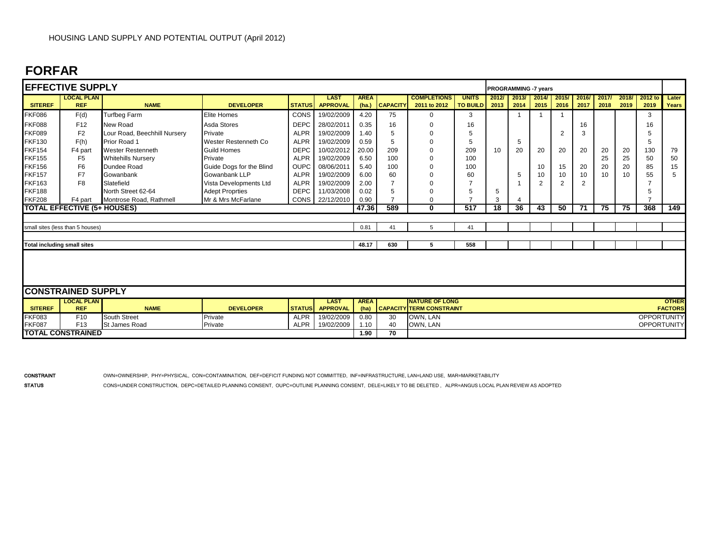## **FORFAR**

|                                    | <b>EFFECTIVE SUPPLY</b>            |                              |                          |               |                                |                     |          |                                                          |               |       | <b>PROGRAMMING -7 years</b> |                |                |       |       |       |                    |                                |
|------------------------------------|------------------------------------|------------------------------|--------------------------|---------------|--------------------------------|---------------------|----------|----------------------------------------------------------|---------------|-------|-----------------------------|----------------|----------------|-------|-------|-------|--------------------|--------------------------------|
|                                    | <b>LOCAL PLAN</b>                  |                              |                          |               | <b>LAST</b>                    | <b>AREA</b>         |          | <b>COMPLETIONS</b>                                       | <b>UNITS</b>  | 2012/ | 2013/                       | 2014/          | 2015/          | 2016/ | 2017/ | 2018/ | 2012 to            | Later                          |
| <b>SITEREF</b>                     | <b>REF</b>                         | <b>NAME</b>                  | <b>DEVELOPER</b>         | <b>STATUS</b> | <b>APPROVAL</b>                | (ha.)               | CAPACITY | 2011 to 2012                                             | TO BUILD 2013 |       | 2014                        | 2015           | 2016           | 2017  | 2018  | 2019  | 2019               | Years                          |
| <b>FKF086</b>                      | F(d)                               | <b>Turfbeg Farm</b>          | <b>Elite Homes</b>       | CONS          | 19/02/2009                     | 4.20                | 75       | $\Omega$                                                 | 3             |       | 1                           |                |                |       |       |       | 3                  |                                |
| <b>FKF088</b>                      | F12                                | New Road                     | Asda Stores              | <b>DEPC</b>   | 28/02/2011                     | 0.35                | 16       | $\Omega$                                                 | 16            |       |                             |                |                | 16    |       |       | 16                 |                                |
| <b>FKF089</b>                      | F <sub>2</sub>                     | Lour Road, Beechhill Nursery | Private                  | <b>ALPR</b>   | 19/02/2009                     | 1.40                | 5        | $\Omega$                                                 | 5             |       |                             |                | 2              | 3     |       |       | 5                  |                                |
| <b>FKF130</b>                      | F(h)                               | <b>Prior Road 1</b>          | Wester Restenneth Co     | <b>ALPR</b>   | 19/02/2009                     | 0.59                | 5        | $\Omega$                                                 | 5             |       | 5                           |                |                |       |       |       | 5                  |                                |
| <b>FKF154</b>                      | F4 part                            | <b>Wester Restenneth</b>     | Guild Homes              | <b>DEPC</b>   | 10/02/2012                     | 20.00               | 209      | 0                                                        | 209           | 10    | 20                          | 20             | 20             | 20    | 20    | 20    | 130                | 79                             |
| <b>FKF155</b>                      | F <sub>5</sub>                     | <b>Whitehills Nursery</b>    | Private                  | <b>ALPR</b>   | 19/02/2009                     | 6.50                | 100      | $\Omega$                                                 | 100           |       |                             |                |                |       | 25    | 25    | 50                 | 50                             |
| <b>FKF156</b>                      | F <sub>6</sub>                     | Dundee Road                  | Guide Dogs for the Blind | <b>OUPC</b>   | 08/06/2011                     | 5.40                | 100      | $\Omega$                                                 | 100           |       |                             | 10             | 15             | 20    | 20    | 20    | 85                 | 15                             |
| <b>FKF157</b>                      | F7                                 | <b>Gowanbank</b>             | Gowanbank LLP            | <b>ALPR</b>   | 19/02/2009                     | 6.00                | 60       |                                                          | 60            |       | 5                           | 10             | 10             | 10    | 10    | 10    | 55                 | 5                              |
| <b>FKF163</b>                      | F <sub>8</sub>                     | Slatefield                   | Vista Developments Ltd   | <b>ALPR</b>   | 19/02/2009                     | 2.00                | 7        | $\Omega$                                                 |               |       |                             | $\overline{2}$ | $\overline{2}$ | 2     |       |       |                    |                                |
| <b>FKF188</b>                      |                                    | North Street 62-64           | <b>Adept Proprties</b>   | <b>DEPC</b>   | 11/03/2008                     | 0.02                | 5        | 0                                                        | 5             | 5     |                             |                |                |       |       |       | 5                  |                                |
| <b>FKF208</b>                      | F4 part                            | Montrose Road, Rathmell      | Mr & Mrs McFarlane       |               | CONS 22/12/2010                | 0.90                |          | 0                                                        |               | 3     | 4                           |                |                |       |       |       |                    |                                |
|                                    | <b>TOTAL EFFECTIVE (5+ HOUSES)</b> |                              |                          |               |                                | 47.36               | 589      | $\mathbf 0$                                              | 517           | 18    | 36                          | 43             | 50             | 71    | 75    | 75    | 368                | 149                            |
|                                    |                                    |                              |                          |               |                                |                     |          |                                                          |               |       |                             |                |                |       |       |       |                    |                                |
|                                    | small sites (less than 5 houses)   |                              |                          |               |                                | 0.81                | 41       | 5                                                        | 41            |       |                             |                |                |       |       |       |                    |                                |
|                                    |                                    |                              |                          |               |                                |                     |          |                                                          |               |       |                             |                |                |       |       |       |                    |                                |
| <b>Total including small sites</b> |                                    |                              |                          |               |                                | 48.17               | 630      | 5                                                        | 558           |       |                             |                |                |       |       |       |                    |                                |
|                                    |                                    |                              |                          |               |                                |                     |          |                                                          |               |       |                             |                |                |       |       |       |                    |                                |
|                                    | <b>CONSTRAINED SUPPLY</b>          |                              |                          |               |                                |                     |          |                                                          |               |       |                             |                |                |       |       |       |                    |                                |
| <b>SITEREF</b>                     | <b>LOCAL PLAN</b><br><b>REF</b>    | <b>NAME</b>                  | <b>DEVELOPER</b>         | <b>STATUS</b> | <b>LAST</b><br><b>APPROVAL</b> | <b>AREA</b><br>(ha) |          | <b>NATURE OF LONG</b><br><b>CAPACITY TERM CONSTRAINT</b> |               |       |                             |                |                |       |       |       |                    | <b>OTHER</b><br><b>FACTORS</b> |
| <b>FKF083</b>                      | F <sub>10</sub>                    | <b>South Street</b>          | Private                  | <b>ALPR</b>   | 19/02/2009                     | 0.80                | 30       | OWN, LAN                                                 |               |       |                             |                |                |       |       |       | <b>OPPORTUNITY</b> |                                |
| <b>FKF087</b>                      | F <sub>13</sub>                    | <b>St James Road</b>         | Private                  | <b>ALPR</b>   | 19/02/2009                     | 1.10                | 40       | OWN, LAN                                                 |               |       |                             |                |                |       |       |       | <b>OPPORTUNITY</b> |                                |
|                                    | <b>TOTAL CONSTRAINED</b>           |                              |                          |               |                                | 1.90                | 70       |                                                          |               |       |                             |                |                |       |       |       |                    |                                |

CONSTRAINT OWN=OWNERSHIP, PHY=PHYSICAL, CON=CONTAMINATION, DEF=DEFICIT FUNDING NOT COMMITTED, INF=INFRASTRUCTURE, LAN=LAND USE, MAR=MARKETABILITY

STATUS CONS=UNDER CONSTRUCTION, DEPC=DETAILED PLANNING CONSENT, OUPC=OUTLINE PLANNING CONSENT, DELE=LIKELY TO BE DELETED, ALPR=ANGUS LOCAL PLAN REVIEW AS ADOPTED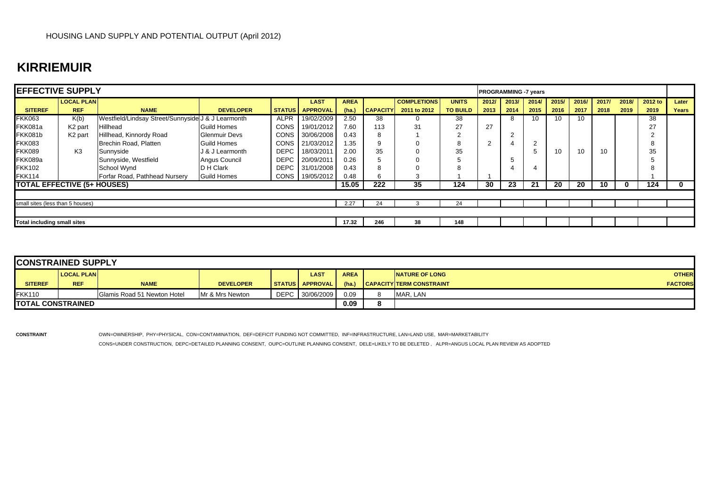## **KIRRIEMUIR**

| <b>IEFFECTIVE SUPPLY</b>           |                     |                                                    |                      |             |                        |             |                 |                    |                 | <b>PROGRAMMING -7 years</b> |       |       |       |       |       |       |         |              |
|------------------------------------|---------------------|----------------------------------------------------|----------------------|-------------|------------------------|-------------|-----------------|--------------------|-----------------|-----------------------------|-------|-------|-------|-------|-------|-------|---------|--------------|
|                                    | <b>LOCAL PLAN</b>   |                                                    |                      |             | <b>LAST</b>            | <b>AREA</b> |                 | <b>COMPLETIONS</b> | <b>UNITS</b>    | 2012/                       | 2013/ | 2014/ | 2015/ | 2016/ | 2017/ | 2018/ | 2012 to | Later        |
| <b>SITEREF</b>                     | <b>REF</b>          | <b>NAME</b>                                        | <b>DEVELOPER</b>     |             | <b>STATUS APPROVAL</b> | (ha.)       | <b>CAPACITY</b> | 2011 to 2012       | <b>TO BUILD</b> | 2013                        | 2014  | 2015  | 2016  | 2017  | 2018  | 2019  | 2019    | <b>Years</b> |
| <b>FKK063</b>                      | K(b)                | Westfield/Lindsay Street/Sunnyside J & J Learmonth |                      | <b>ALPR</b> | 19/02/2009             | 2.50        | 38              |                    | 38              |                             |       | 10    | 10    | 10    |       |       | 38      |              |
| FKK081a                            | K <sub>2</sub> part | Hillhead                                           | <b>Guild Homes</b>   | <b>CONS</b> | 19/01/2012             | 7.60        | 113             | 31                 | 27              | 27                          |       |       |       |       |       |       | 27      |              |
| FKK081b                            | K <sub>2</sub> part | Hillhead, Kinnordy Road                            | <b>Glenmuir Devs</b> | <b>CONS</b> | 30/06/2008             | 0.43        | 8               |                    |                 |                             |       |       |       |       |       |       |         |              |
| FKK083                             |                     | Brechin Road, Platten                              | <b>Guild Homes</b>   | <b>CONS</b> | 21/03/2012             | .35         | 9               |                    |                 |                             |       |       |       |       |       |       |         |              |
| FKK089                             | K <sub>3</sub>      | Sunnyside                                          | J & J Learmonth      | <b>DEPC</b> | 18/03/2011             | 2.00        | 35              |                    | 35              |                             |       |       | 10    | 10    |       |       | 35      |              |
| <b>FKK089a</b>                     |                     | Sunnyside, Westfield                               | Angus Council        | <b>DEPC</b> | 20/09/2011             | 0.26        | 5               |                    |                 |                             |       |       |       |       |       |       |         |              |
| <b>FKK102</b>                      |                     | School Wynd                                        | <b>D</b> H Clark     | <b>DEPC</b> | 31/01/2008             | 0.43        | 8               |                    |                 |                             |       |       |       |       |       |       |         |              |
| FKK114                             |                     | Forfar Road, Pathhead Nursery                      | <b>Guild Homes</b>   | CONS        | 19/05/2012             | 0.48        | 6               |                    |                 |                             |       |       |       |       |       |       |         |              |
| <b>TOTAL EFFECTIVE (5+ HOUSES)</b> |                     |                                                    |                      |             |                        | 15.05       | 222             | 35                 | 124             | 30                          | 23    | 21    | 20    | 20    | 10    | 0     | 124     |              |
|                                    |                     |                                                    |                      |             |                        |             |                 |                    |                 |                             |       |       |       |       |       |       |         |              |
| small sites (less than 5 houses)   |                     |                                                    |                      |             |                        | 2.27        | 24              |                    | 24              |                             |       |       |       |       |       |       |         |              |
|                                    |                     |                                                    |                      |             |                        |             |                 |                    |                 |                             |       |       |       |       |       |       |         |              |
| <b>Total including small sites</b> |                     |                                                    |                      |             | 17.32                  | 246         | 38              | 148                |                 |                             |       |       |       |       |       |       |         |              |

| <b>CONSTRAINED SUPPLY</b> |                   |                             |                  |                        |             |             |                                   |                |
|---------------------------|-------------------|-----------------------------|------------------|------------------------|-------------|-------------|-----------------------------------|----------------|
|                           | <b>LOCAL PLAN</b> |                             |                  | LAST                   | <b>AREA</b> |             | <b>INATURE OF LONG</b>            | <b>OTHER</b>   |
| <b>SITEREF</b>            | <b>REF</b>        | <b>NAME</b>                 | <b>DEVELOPER</b> | <b>STATUS APPROVAL</b> | (ha)        |             | <b>I CAPACITY TERM CONSTRAINT</b> | <b>FACTORS</b> |
| <b>FKK110</b>             |                   | Glamis Road 51 Newton Hotel | Mr & Mrs Newton  | DEPC 30/06/2009        | 0.09        |             | MAR. LAN                          |                |
| <b>TOTAL CONSTRAINED</b>  |                   |                             |                  |                        | 0.09        | $\mathbf o$ |                                   |                |

**CONSTRAINT** OWN=OWNERSHIP, PHY=PHYSICAL, CON=CONTAMINATION, DEF=DEFICIT FUNDING NOT COMMITTED, INF=INFRASTRUCTURE, LAN=LAND USE, MAR=MARKETABILITY

CONS=UNDER CONSTRUCTION, DEPC=DETAILED PLANNING CONSENT, OUPC=OUTLINE PLANNING CONSENT, DELE=LIKELY TO BE DELETED , ALPR=ANGUS LOCAL PLAN REVIEW AS ADOPTED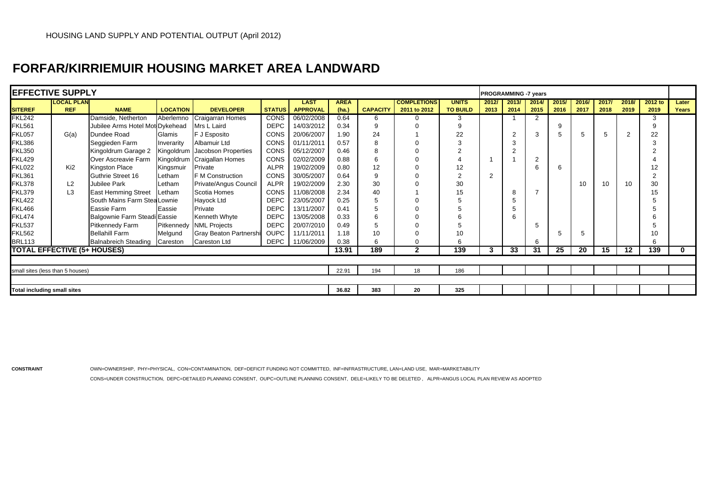## **FORFAR/KIRRIEMUIR HOUSING MARKET AREA LANDWARD**

|                | <b>EFFECTIVE SUPPLY</b>            |                                 |                 |                                |               |                                |                      |                 |                                    |                                 |                |               |                | <b>PROGRAMMING -7 years</b> |                 |               |                |                 |                |  |  |  |
|----------------|------------------------------------|---------------------------------|-----------------|--------------------------------|---------------|--------------------------------|----------------------|-----------------|------------------------------------|---------------------------------|----------------|---------------|----------------|-----------------------------|-----------------|---------------|----------------|-----------------|----------------|--|--|--|
|                |                                    |                                 |                 |                                |               |                                |                      |                 |                                    |                                 |                |               |                |                             |                 |               |                |                 |                |  |  |  |
| <b>SITEREF</b> | <b>LOCAL PLAN</b><br><b>REF</b>    | <b>NAME</b>                     | <b>LOCATION</b> | <b>DEVELOPER</b>               | <b>STATUS</b> | <b>LAST</b><br><b>APPROVAL</b> | <b>AREA</b><br>(ha.) | <b>CAPACITY</b> | <b>COMPLETIONS</b><br>2011 to 2012 | <b>UNITS</b><br><b>TO BUILD</b> | 2012/<br>2013  | 2013/<br>2014 | 2014<br>2015   | 2015/<br>2016               | 2016/<br>2017   | 2017/<br>2018 | 2018/<br>2019  | 2012 to<br>2019 | Later<br>Years |  |  |  |
| <b>FKL242</b>  |                                    | Damside, Netherton              | Aberlemno       |                                | <b>CONS</b>   | 06/02/2008                     | 0.64                 | 6               |                                    | 3                               |                |               | $\overline{2}$ |                             |                 |               |                | 3               |                |  |  |  |
|                |                                    |                                 |                 | Craigarran Homes               |               |                                |                      |                 |                                    |                                 |                |               |                |                             |                 |               |                |                 |                |  |  |  |
| FKL561         |                                    | Jubilee Arms Hotel Mot Dykehead |                 | Mrs L Laird                    | <b>DEPC</b>   | 14/03/2012                     | 0.34                 | <sub>9</sub>    |                                    | 9                               |                |               |                | 9                           |                 |               |                | 9               |                |  |  |  |
| FKL057         | G(a)                               | Dundee Road                     | Glamis          | F J Esposito                   | <b>CONS</b>   | 20/06/2007                     | 1.90                 | 24              |                                    | 22                              |                | 2             | 3              |                             | 5               | 5             | $\overline{2}$ | 22              |                |  |  |  |
| <b>FKL386</b>  |                                    | Seggieden Farm                  | Inverarity      | Albamuir Ltd                   | <b>CONS</b>   | 01/11/2011                     | 0.57                 |                 |                                    |                                 |                |               |                |                             |                 |               |                | 3               |                |  |  |  |
| <b>FKL350</b>  |                                    | Kingoldrum Garage 2             |                 | Kingoldrum Jacobson Properties | <b>CONS</b>   | 05/12/2007                     | 0.46                 | 8               |                                    |                                 |                |               |                |                             |                 |               |                | $\sim$          |                |  |  |  |
| <b>FKL429</b>  |                                    | Over Ascreavie Farm             |                 | Kingoldrum Craigallan Homes    | CONS          | 02/02/2009                     | 0.88                 | 6               |                                    |                                 |                |               | $\overline{2}$ |                             |                 |               |                |                 |                |  |  |  |
| <b>FKL022</b>  | Ki <sub>2</sub>                    | Kingston Place                  | Kingsmuir       | Private                        | <b>ALPR</b>   | 19/02/2009                     | 0.80                 | 12              |                                    | 12                              |                |               | 6              | 6                           |                 |               |                | 12              |                |  |  |  |
| <b>FKL361</b>  |                                    | Guthrie Street 16               | Letham          | F M Construction               | CONS          | 30/05/2007                     | 0.64                 | 9               |                                    | 2                               | $\overline{2}$ |               |                |                             |                 |               |                | $\overline{2}$  |                |  |  |  |
| FKL378         | L <sub>2</sub>                     | Jubilee Park                    | Letham          | Private/Angus Council          | <b>ALPR</b>   | 19/02/2009                     | 2.30                 | 30              |                                    | 30                              |                |               |                |                             | 10              | 10            | 10             | 30              |                |  |  |  |
| FKL379         | L <sub>3</sub>                     | <b>East Hemming Street</b>      | Letham          | Scotia Homes                   | <b>CONS</b>   | 11/08/2008                     | 2.34                 | 40              |                                    | 15                              |                | 8             |                |                             |                 |               |                | 15              |                |  |  |  |
| <b>FKL422</b>  |                                    | South Mains Farm Stea           | Lownie          | Hayock Ltd                     | <b>DEPC</b>   | 23/05/2007                     | 0.25                 |                 |                                    |                                 |                |               |                |                             |                 |               |                |                 |                |  |  |  |
| <b>FKL466</b>  |                                    | Eassie Farm                     | Eassie          | Private                        | <b>DEPC</b>   | 13/11/2007                     | 0.41                 | 5               |                                    |                                 |                |               |                |                             |                 |               |                |                 |                |  |  |  |
| <b>FKL474</b>  |                                    | Balgownie Farm Steadi Eassie    |                 | Kenneth Whyte                  | <b>DEPC</b>   | 13/05/2008                     | 0.33                 |                 |                                    | h                               |                |               |                |                             |                 |               |                |                 |                |  |  |  |
| <b>FKL537</b>  |                                    | <b>Pitkennedy Farm</b>          | Pitkennedy      | <b>NML Projects</b>            | <b>DEPC</b>   | 20/07/2010                     | 0.49                 |                 |                                    |                                 |                |               | 5              |                             |                 |               |                |                 |                |  |  |  |
| <b>FKL562</b>  |                                    | <b>Bellahill Farm</b>           | Melgund         | Gray Beaton Partnershi         | <b>OUPC</b>   | 11/11/2011                     | 1.18                 | 10              |                                    | 10                              |                |               |                |                             | 5               |               |                | 10              |                |  |  |  |
| <b>BRL113</b>  |                                    | <b>Balnabreich Steading</b>     | Careston        | Careston Ltd                   | <b>DEPC</b>   | 11/06/2009                     | 0.38                 |                 |                                    | 6                               |                |               | 6              |                             |                 |               |                | 6               |                |  |  |  |
|                | <b>TOTAL EFFECTIVE (5+ HOUSES)</b> |                                 |                 |                                |               |                                | 13.91                | 189             | $\overline{2}$                     | 139                             | 3              | 33            | 31             | 25                          | $\overline{20}$ | 15            | 12             | 139             | $\mathbf{0}$   |  |  |  |
|                |                                    |                                 |                 |                                |               |                                |                      |                 |                                    |                                 |                |               |                |                             |                 |               |                |                 |                |  |  |  |
|                | small sites (less than 5 houses)   |                                 |                 |                                |               |                                | 22.91                | 194             | 18                                 | 186                             |                |               |                |                             |                 |               |                |                 |                |  |  |  |
|                |                                    |                                 |                 |                                |               |                                |                      |                 |                                    |                                 |                |               |                |                             |                 |               |                |                 |                |  |  |  |
|                | <b>Total including small sites</b> |                                 |                 |                                |               |                                |                      |                 | 20                                 | 325                             |                |               |                |                             |                 |               |                |                 |                |  |  |  |

**CONSTRAINT** OWN=OWNERSHIP, PHY=PHYSICAL, CON=CONTAMINATION, DEF=DEFICIT FUNDING NOT COMMITTED, INF=INFRASTRUCTURE, LAN=LAND USE, MAR=MARKETABILITY CONS=UNDER CONSTRUCTION, DEPC=DETAILED PLANNING CONSENT, OUPC=OUTLINE PLANNING CONSENT, DELE=LIKELY TO BE DELETED , ALPR=ANGUS LOCAL PLAN REVIEW AS ADOPTED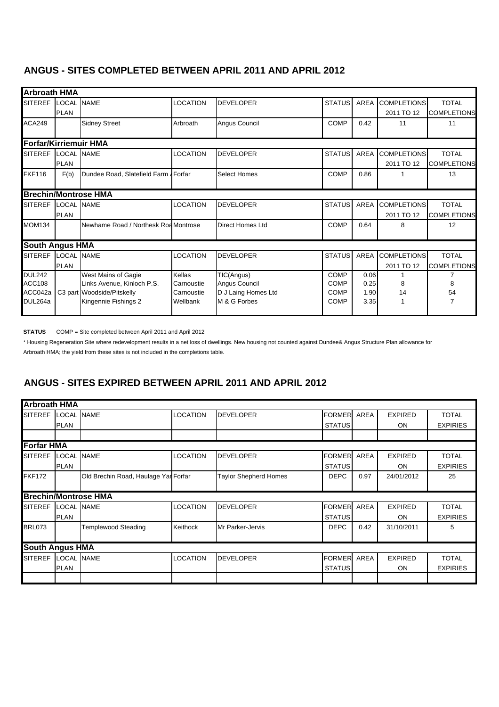#### **ANGUS - SITES COMPLETED BETWEEN APRIL 2011 AND APRIL 2012**

| <b>Arbroath HMA</b>          |                   |                                       |                 |                         |               |             |                    |                    |
|------------------------------|-------------------|---------------------------------------|-----------------|-------------------------|---------------|-------------|--------------------|--------------------|
| <b>SITEREF</b>               | LOCAL NAME        |                                       | LOCATION        | <b>DEVELOPER</b>        | <b>STATUS</b> | AREA        | <b>COMPLETIONS</b> | <b>TOTAL</b>       |
|                              | <b>PLAN</b>       |                                       |                 |                         |               |             | 2011 TO 12         | <b>COMPLETIONS</b> |
| <b>ACA249</b>                |                   | <b>Sidney Street</b>                  | Arbroath        | Angus Council           | COMP          | 0.42        | 11                 | 11                 |
| <b>Forfar/Kirriemuir HMA</b> |                   |                                       |                 |                         |               |             |                    |                    |
| <b>SITEREF</b>               | <b>LOCAL NAME</b> |                                       | <b>LOCATION</b> | <b>DEVELOPER</b>        | <b>STATUS</b> | <b>AREA</b> | <b>COMPLETIONS</b> | <b>TOTAL</b>       |
|                              | <b>PLAN</b>       |                                       |                 |                         |               |             | 2011 TO 12         | <b>COMPLETIONS</b> |
| <b>FKF116</b>                | F(b)              | Dundee Road, Slatefield Farm / Forfar |                 | <b>Select Homes</b>     | <b>COMP</b>   | 0.86        |                    | 13                 |
|                              |                   | <b>Brechin/Montrose HMA</b>           |                 |                         |               |             |                    |                    |
| <b>SITEREF</b>               | <b>LOCAL NAME</b> |                                       | <b>LOCATION</b> | <b>DEVELOPER</b>        | <b>STATUS</b> | AREA        | <b>COMPLETIONS</b> | <b>TOTAL</b>       |
|                              | <b>PLAN</b>       |                                       |                 |                         |               |             | 2011 TO 12         | <b>COMPLETIONS</b> |
| <b>MOM134</b>                |                   | Newhame Road / Northesk Roa Montrose  |                 | <b>Direct Homes Ltd</b> | <b>COMP</b>   | 0.64        | 8                  | 12                 |
| <b>South Angus HMA</b>       |                   |                                       |                 |                         |               |             |                    |                    |
| <b>SITEREF</b>               | LOCAL NAME        |                                       | <b>LOCATION</b> | <b>DEVELOPER</b>        | <b>STATUS</b> | AREA        | <b>COMPLETIONS</b> | <b>TOTAL</b>       |
|                              | <b>PLAN</b>       |                                       |                 |                         |               |             | 2011 TO 12         | <b>COMPLETIONS</b> |
| <b>DUL242</b>                |                   | West Mains of Gagie                   | Kellas          | TIC(Angus)              | COMP          | 0.06        |                    |                    |
| <b>ACC108</b>                |                   | Links Avenue, Kinloch P.S.            | Carnoustie      | Angus Council           | <b>COMP</b>   | 0.25        | 8                  | 8                  |
| ACC042a                      |                   | C3 part Woodside/Pitskelly            | Carnoustie      | D J Laing Homes Ltd     | COMP          | 1.90        | 14                 | 54                 |
| DUL264a                      |                   | Kingennie Fishings 2                  | Wellbank        | M & G Forbes            | <b>COMP</b>   | 3.35        |                    | 7                  |

**STATUS** COMP = Site completed between April 2011 and April 2012

\* Housing Regeneration Site where redevelopment results in a net loss of dwellings. New housing not counted against Dundee& Angus Structure Plan allowance for

Arbroath HMA; the yield from these sites is not included in the completions table.

#### **ANGUS - SITES EXPIRED BETWEEN APRIL 2011 AND APRIL 2012**

| <b>Arbroath HMA</b>    |                   |                                      |                 |                              |               |             |                |                 |
|------------------------|-------------------|--------------------------------------|-----------------|------------------------------|---------------|-------------|----------------|-----------------|
| <b>SITEREF</b>         | LOCAL NAME        |                                      | <b>LOCATION</b> | <b>DEVELOPER</b>             | <b>FORMER</b> | AREA        | <b>EXPIRED</b> | <b>TOTAL</b>    |
|                        | <b>PLAN</b>       |                                      |                 |                              | <b>STATUS</b> |             | <b>ON</b>      | <b>EXPIRIES</b> |
|                        |                   |                                      |                 |                              |               |             |                |                 |
| <b>Forfar HMA</b>      |                   |                                      |                 |                              |               |             |                |                 |
| <b>SITEREF</b>         | LOCAL NAME        |                                      | <b>LOCATION</b> | <b>DEVELOPER</b>             | <b>FORMER</b> | <b>AREA</b> | <b>EXPIRED</b> | <b>TOTAL</b>    |
|                        | <b>PLAN</b>       |                                      |                 |                              | <b>STATUS</b> |             | <b>ON</b>      | <b>EXPIRIES</b> |
| <b>FKF172</b>          |                   | Old Brechin Road, Haulage Yar Forfar |                 | <b>Taylor Shepherd Homes</b> | <b>DEPC</b>   | 0.97        | 24/01/2012     | 25              |
|                        |                   |                                      |                 |                              |               |             |                |                 |
|                        |                   | <b>Brechin/Montrose HMA</b>          |                 |                              |               |             |                |                 |
| <b>SITEREF</b>         | <b>LOCAL NAME</b> |                                      | <b>LOCATION</b> | <b>DEVELOPER</b>             | <b>FORMER</b> | <b>AREA</b> | <b>EXPIRED</b> | <b>TOTAL</b>    |
|                        | <b>PLAN</b>       |                                      |                 |                              | <b>STATUS</b> |             | <b>ON</b>      | <b>EXPIRIES</b> |
| <b>BRL073</b>          |                   | <b>Templewood Steading</b>           | Keithock        | Mr Parker-Jervis             | <b>DEPC</b>   | 0.42        | 31/10/2011     | 5               |
|                        |                   |                                      |                 |                              |               |             |                |                 |
| <b>South Angus HMA</b> |                   |                                      |                 |                              |               |             |                |                 |
| <b>SITEREF</b>         | LOCAL NAME        |                                      | <b>LOCATION</b> | <b>DEVELOPER</b>             | <b>FORMER</b> | <b>AREA</b> | <b>EXPIRED</b> | <b>TOTAL</b>    |
|                        | <b>PLAN</b>       |                                      |                 |                              | <b>STATUS</b> |             | <b>ON</b>      | <b>EXPIRIES</b> |
|                        |                   |                                      |                 |                              |               |             |                |                 |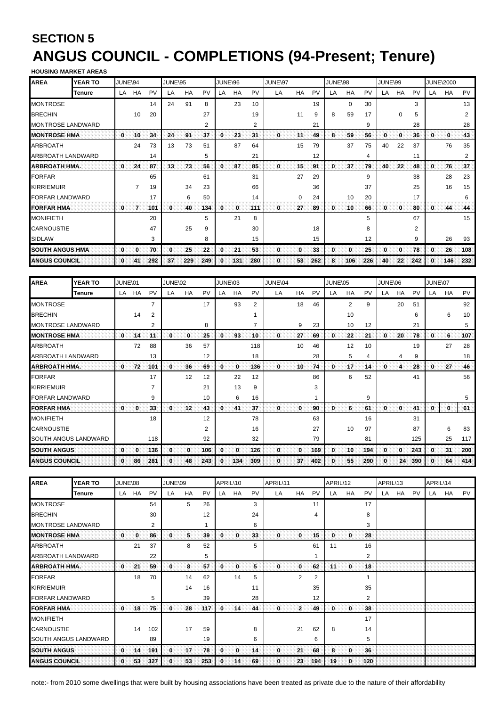## <span id="page-19-0"></span>**SECTION 5 ANGUS COUNCIL - COMPLETIONS (94-Present; Tenure) HOUSING MARKET AREAS**

| <b>HUUSIING MANNEI ANLAS</b> |                |              |    |     |         |     |           |              |     |     |         |          |           |              |           |     |         |    |     |    |                  |     |
|------------------------------|----------------|--------------|----|-----|---------|-----|-----------|--------------|-----|-----|---------|----------|-----------|--------------|-----------|-----|---------|----|-----|----|------------------|-----|
| <b>AREA</b>                  | <b>YEAR TO</b> | JUNE\94      |    |     | JUNE\95 |     |           | JUNE\96      |     |     | JUNE\97 |          |           | JUNE\98      |           |     | JUNE\99 |    |     |    | <b>JUNE\2000</b> |     |
|                              | Tenure         | LA           | HA | PV  | LA      | HA  | <b>PV</b> | LA           | HA  | PV  | LA      | HA       | <b>PV</b> | LA           | <b>HA</b> | PV  | LA      | HA | PV  | LA | HA               | PV  |
| MONTROSE                     |                |              |    | 14  | 24      | 91  | 8         |              | 23  | 10  |         |          | 19        |              | $\Omega$  | 30  |         |    | 3   |    |                  | 13  |
| <b>BRECHIN</b>               |                |              | 10 | 20  |         |     | 27        |              |     | 19  |         | 11       | 9         | 8            | 59        | 17  |         | 0  | 5   |    |                  | 2   |
| <b>MONTROSE LANDWARD</b>     |                |              |    |     |         |     | 2         |              |     | 2   |         |          | 21        |              |           | 9   |         |    | 28  |    |                  | 28  |
| <b>MONTROSE HMA</b>          |                | 0            | 10 | 34  | 24      | 91  | 37        | $\mathbf{0}$ | 23  | 31  | 0       | 11       | 49        | 8            | 59        | 56  | 0       | 0  | 36  | 0  | 0                | 43  |
| <b>ARBROATH</b>              |                |              | 24 | 73  | 13      | 73  | 51        |              | 87  | 64  |         | 15       | 79        |              | 37        | 75  | 40      | 22 | 37  |    | 76               | 35  |
| ARBROATH LANDWARD            |                |              |    | 14  |         |     | 5         |              |     | 21  |         |          | 12        |              |           | 4   |         |    | 11  |    |                  | 2   |
| <b>ARBROATH HMA.</b>         |                | 0            | 24 | 87  | 13      | 73  | 56        | 0            | 87  | 85  | 0       | 15       | 91        | $\mathbf{0}$ | 37        | 79  | 40      | 22 | 48  | 0  | 76               | 37  |
| <b>FORFAR</b>                |                |              |    | 65  |         |     | 61        |              |     | 31  |         | 27       | 29        |              |           | 9   |         |    | 38  |    | 28               | 23  |
| <b>KIRRIEMUIR</b>            |                |              | 7  | 19  |         | 34  | 23        |              |     | 66  |         |          | 36        |              |           | 37  |         |    | 25  |    | 16               | 15  |
| <b>FORFAR LANDWARD</b>       |                |              |    | 17  |         | 6   | 50        |              |     | 14  |         | $\Omega$ | 24        |              | 10        | 20  |         |    | 17  |    |                  | 6   |
| <b>FORFAR HMA</b>            |                | 0            | 7  | 101 | 0       | 40  | 134       | 0            | 0   | 111 | 0       | 27       | 89        | 0.           | 10        | 66  | 0       | 0  | 80  | 0  | 44               | 44  |
| MONIFIETH                    |                |              |    | 20  |         |     | 5         |              | 21  | 8   |         |          |           |              |           | 5   |         |    | 67  |    |                  | 15  |
| CARNOUSTIE                   |                |              |    | 47  |         | 25  | 9         |              |     | 30  |         |          | 18        |              |           | 8   |         |    | 2   |    |                  |     |
| <b>SIDLAW</b>                |                |              |    | 3   |         |     | 8         |              |     | 15  |         |          | 15        |              |           | 12  |         |    | 9   |    | 26               | 93  |
| <b>SOUTH ANGUS HMA</b>       |                | 0            | 0  | 70  | 0       | 25  | 22        | 0            | 21  | 53  | 0       | 0        | 33        | 0            | 0         | 25  | 0       | 0  | 78  | 0  | 26               | 108 |
| <b>ANGUS COUNCIL</b>         |                | $\mathbf{0}$ | 41 | 292 | 37      | 229 | 249       | 0            | 131 | 280 | 0       | 53       | 262       | 8            | 106       | 226 | 40      | 22 | 242 | 0  | 146              | 232 |

| <b>AREA</b>              | <b>YEAR TO</b> | JUNE\01      |    |                | JUNE\02      |    |     | JUNE\03 |              |     | JUNE\04  |    |     | JUNE\05 |    |     | JUNE\06 |    |     | JUNE\07 |    |     |
|--------------------------|----------------|--------------|----|----------------|--------------|----|-----|---------|--------------|-----|----------|----|-----|---------|----|-----|---------|----|-----|---------|----|-----|
|                          | Tenure         | LA           | HA | PV             | LA           | HA | PV  | LA      | HA           | PV  | LA       | HA | PV  | LA      | HA | PV  | LA      | HA | PV  | LA      | HA | PV  |
| <b>MONTROSE</b>          |                |              |    | $\overline{7}$ |              |    | 17  |         | 93           | 2   |          | 18 | 46  |         | 2  | 9   |         | 20 | 51  |         |    | 92  |
| <b>BRECHIN</b>           |                |              | 14 | 2              |              |    |     |         |              |     |          |    |     |         | 10 |     |         |    | 6   |         | 6  | 10  |
| <b>MONTROSE LANDWARD</b> |                |              |    | 2              |              |    | 8   |         |              | 7   |          | 9  | 23  |         | 10 | 12  |         |    | 21  |         |    | 5   |
| <b>MONTROSE HMA</b>      |                | $\bf{0}$     | 14 | -11            | 0            | 0  | 25  | 0       | 93           | 10  | 0        | 27 | 69  | 0       | 22 | 21  | 0       | 20 | 78  | 0       | 6  | 107 |
| <b>ARBROATH</b>          |                |              | 72 | 88             |              | 36 | 57  |         |              | 118 |          | 10 | 46  |         | 12 | 10  |         |    | 19  |         | 27 | 28  |
| <b>ARBROATH LANDWARD</b> |                |              |    | 13             |              |    | 12  |         |              | 18  |          |    | 28  |         | 5  | 4   |         | 4  | 9   |         |    | 18  |
| <b>ARBROATH HMA.</b>     |                | $\mathbf{0}$ | 72 | 101            | 0            | 36 | 69  | 0       | $\mathbf{0}$ | 136 | 0        | 10 | 74  | 0       | 17 | 14  | 0       | 4  | 28  | 0       | 27 | 46  |
| <b>FORFAR</b>            |                |              |    | 17             |              | 12 | 12  |         | 22           | 12  |          |    | 86  |         | 6  | 52  |         |    | 41  |         |    | 56  |
| <b>KIRRIEMUIR</b>        |                |              |    |                |              |    | 21  |         | 13           | 9   |          |    | 3   |         |    |     |         |    |     |         |    |     |
| <b>FORFAR LANDWARD</b>   |                |              |    | 9              |              |    | 10  |         | 6            | 16  |          |    | 1   |         |    | 9   |         |    |     |         |    | 5   |
| <b>FORFAR HMA</b>        |                | 0            | 0. | 33             | 0            | 12 | 43  | 0       | 41           | 37  | O        | 0  | 90  | 0       | 6  | 61  | 0       | 0  | 41  | 0       | 0  | 61  |
| <b>MONIFIETH</b>         |                |              |    | 18             |              |    | 12  |         |              | 78  |          |    | 63  |         |    | 16  |         |    | 31  |         |    |     |
| <b>CARNOUSTIE</b>        |                |              |    |                |              |    | 2   |         |              | 16  |          |    | 27  |         | 10 | 97  |         |    | 87  |         | 6  | 83  |
| SOUTH ANGUS LANDWARD     |                |              |    | 118            |              |    | 92  |         |              | 32  |          |    | 79  |         |    | 81  |         |    | 125 |         | 25 | 117 |
| <b>SOUTH ANGUS</b>       |                | $\mathbf{0}$ | 0  | 136            | 0            | 0  | 106 | 0       | $\mathbf{0}$ | 126 | 0        | 0  | 169 | 0       | 10 | 194 | 0       | 0  | 243 | 0       | 31 | 200 |
| <b>ANGUS COUNCIL</b>     |                | 0            | 86 | 281            | $\mathbf{0}$ | 48 | 243 | 0       | 134          | 309 | $\bf{0}$ | 37 | 402 | 0       | 55 | 290 | 0       | 24 | 390 | 0       | 64 | 414 |

| <b>AREA</b>              | <b>YEAR TO</b> | JUNE\08 |     |     | JUNE\09      |    |     | APRIL\10     |    |    | APRIL\11 |                |                | APRIL\12 |              |           | APRIL\13 |    |           | APRIL\14 |    |           |
|--------------------------|----------------|---------|-----|-----|--------------|----|-----|--------------|----|----|----------|----------------|----------------|----------|--------------|-----------|----------|----|-----------|----------|----|-----------|
|                          | Tenure         | LA      | HA  | PV  | LA           | HA | PV  | LA           | HA | PV | LA       | HA             | <b>PV</b>      | LA       | HA           | <b>PV</b> | LA       | HA | <b>PV</b> | LA       | HA | <b>PV</b> |
| <b>MONTROSE</b>          |                |         |     | 54  |              | 5  | 26  |              |    | 3  |          |                | 11             |          |              | 17        |          |    |           |          |    |           |
| <b>BRECHIN</b>           |                |         |     | 30  |              |    | 12  |              |    | 24 |          |                | 4              |          |              | 8         |          |    |           |          |    |           |
| <b>MONTROSE LANDWARD</b> |                |         |     | 2   |              |    |     |              |    | 6  |          |                |                |          |              | 3         |          |    |           |          |    |           |
| <b>MONTROSE HMA</b>      |                | 0       | 0.  | 86  | 0            | 5  | 39  | $\mathbf{0}$ | 0  | 33 | 0        | 0              | 15             | $\bf{0}$ | $\mathbf{0}$ | 28        |          |    |           |          |    |           |
| <b>ARBROATH</b>          |                |         | 21  | 37  |              | 8  | 52  |              |    | 5  |          |                | 61             | 11       |              | 16        |          |    |           |          |    |           |
| ARBROATH LANDWARD        |                |         |     | 22  |              |    | 5   |              |    |    |          |                |                |          |              | 2         |          |    |           |          |    |           |
| <b>ARBROATH HMA.</b>     |                | 0       | 21  | 59  | 0.           | 8  | 57  | 0            | 0  | 5. | 0.       | 0              | 62             | :11:     | 0            | 18        |          |    |           |          |    |           |
| <b>FORFAR</b>            |                |         | 18  | 70  |              | 14 | 62  |              | 14 | 5  |          | $\overline{2}$ | $\overline{2}$ |          |              |           |          |    |           |          |    |           |
| <b>KIRRIEMUIR</b>        |                |         |     |     |              | 14 | 16  |              |    | 11 |          |                | 35             |          |              | 35        |          |    |           |          |    |           |
| <b>FORFAR LANDWARD</b>   |                |         |     | 5   |              |    | 39  |              |    | 28 |          |                | 12             |          |              | 2         |          |    |           |          |    |           |
| <b>FORFAR HMA</b>        |                | 0       | 18  | 75  | $\mathbf{0}$ | 28 | 117 | $\mathbf{0}$ | 14 | 44 | 0        | $\mathbf{2}$   | 49             | 0        | $\mathbf{0}$ | 38        |          |    |           |          |    |           |
| <b>MONIFIETH</b>         |                |         |     |     |              |    |     |              |    |    |          |                |                |          |              | 17        |          |    |           |          |    |           |
| <b>CARNOUSTIE</b>        |                |         | 14  | 102 |              | 17 | 59  |              |    | 8  |          | 21             | 62             | 8        |              | 14        |          |    |           |          |    |           |
| SOUTH ANGUS LANDWARD     |                |         |     | 89  |              |    | 19  |              |    | 6  |          |                | 6              |          |              | 5         |          |    |           |          |    |           |
| <b>SOUTH ANGUS</b>       |                | 0       | :14 | 191 | 0            | 17 | 78  | 0            | 0  | 14 | 0        | 21             | 68             | 8        | 0            | 36        |          |    |           |          |    |           |
| <b>ANGUS COUNCIL</b>     |                | 0       | 53  | 327 | 0            | 53 | 253 | 0            | 14 | 69 | $\bf{0}$ | 23             | 194            | 19       | $\bf{0}$     | 120       |          |    |           |          |    |           |

note:- from 2010 some dwellings that were built by housing associations have been treated as private due to the nature of their affordability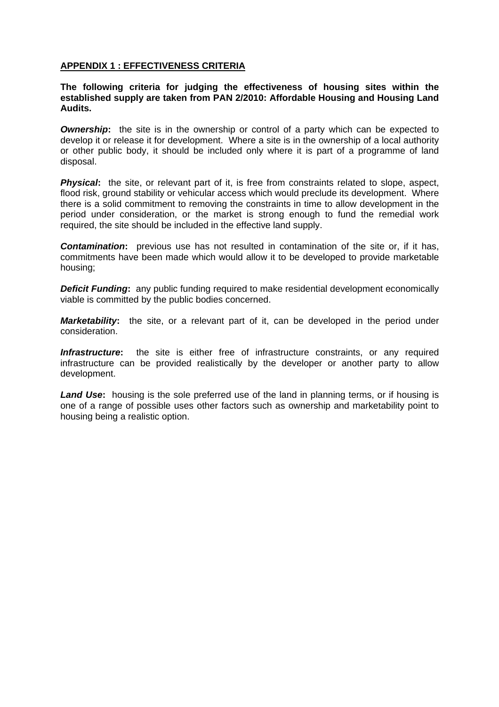#### <span id="page-20-0"></span>**APPENDIX 1 : EFFECTIVENESS CRITERIA**

#### **The following criteria for judging the effectiveness of housing sites within the established supply are taken from PAN 2/2010: Affordable Housing and Housing Land Audits.**

*Ownership*: the site is in the ownership or control of a party which can be expected to develop it or release it for development. Where a site is in the ownership of a local authority or other public body, it should be included only where it is part of a programme of land disposal.

**Physical:** the site, or relevant part of it, is free from constraints related to slope, aspect, flood risk, ground stability or vehicular access which would preclude its development. Where there is a solid commitment to removing the constraints in time to allow development in the period under consideration, or the market is strong enough to fund the remedial work required, the site should be included in the effective land supply.

**Contamination:** previous use has not resulted in contamination of the site or, if it has, commitments have been made which would allow it to be developed to provide marketable housing;

**Deficit Funding:** any public funding required to make residential development economically viable is committed by the public bodies concerned.

*Marketability***:** the site, or a relevant part of it, can be developed in the period under consideration.

**Infrastructure:** the site is either free of infrastructure constraints, or any required infrastructure can be provided realistically by the developer or another party to allow development.

*Land Use***:** housing is the sole preferred use of the land in planning terms, or if housing is one of a range of possible uses other factors such as ownership and marketability point to housing being a realistic option.